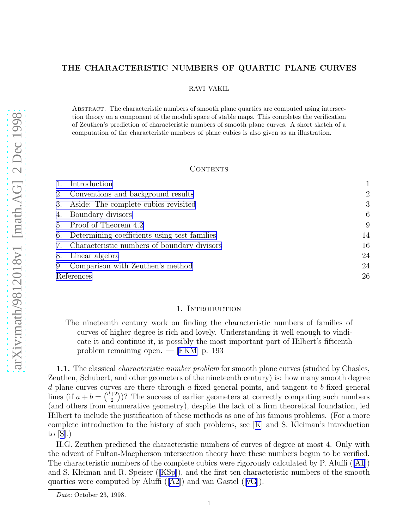# THE CHARACTERISTIC NUMBERS OF QUARTIC PLANE CURVES

RAVI VAKIL

ABSTRACT. The characteristic numbers of smooth plane quartics are computed using intersection theory on a component of the moduli space of stable maps. This completes the verification of Zeuthen's prediction of characteristic numbers of smooth plane curves. A short sketch of a computation of the characteristic numbers of plane cubics is also given as an illustration.

# **CONTENTS**

|    | Introduction                                    |                |
|----|-------------------------------------------------|----------------|
|    | 2. Conventions and background results           | $\overline{2}$ |
| 3. | Aside: The complete cubics revisited            | 3              |
| 4. | Boundary divisors                               | 6              |
|    | 5. Proof of Theorem 4.2                         | 9              |
|    | 6. Determining coefficients using test families | 14             |
|    | 7. Characteristic numbers of boundary divisors  | 16             |
| 8. | Linear algebra                                  | 24             |
| 9. | Comparison with Zeuthen's method                | 24             |
|    | References                                      | 26             |

### 1. Introduction

The nineteenth century work on finding the characteristic numbers of families of curves of higher degree is rich and lovely. Understanding it well enough to vindicate it and continue it, is possibly the most important part of Hilbert's fifteenth problem remaining open. — [\[FKM\]](#page-25-0) p. 193

1.1. The classical *characteristic number problem* for smooth plane curves (studied by Chasles, Zeuthen, Schubert, and other geometers of the nineteenth century) is: how many smooth degree  $d$  plane curves curves are there through  $a$  fixed general points, and tangent to  $b$  fixed general lines (if  $a + b = \binom{d+2}{2}$  $\binom{+2}{2}$ ? The success of earlier geometers at correctly computing such numbers (and others from enumerative geometry), despite the lack of a firm theoretical foundation, led Hilbert to include the justification of these methods as one of his famous problems. (For a more complete introduction to the history of such problems, see[[K\]](#page-25-0) and S. Kleiman's introduction to $[S]$  $[S]$  $[S]$ .)

H.G. Zeuthen predicted the characteristic numbers of curves of degree at most 4. Only with the advent of Fulton-Macpherson intersection theory have these numbers begun to be verified. The characteristic numbers of the complete cubics were rigorously calculated by P. Aluffi ([\[A1](#page-25-0)]) and S. Kleiman and R. Speiser ([[KSp\]](#page-25-0)), and the first ten characteristic numbers of the smooth quartics were computed by Aluffi  $([A2])$  $([A2])$  $([A2])$  and van Gastel  $([vG])$  $([vG])$  $([vG])$ .

Date: October 23, 1998.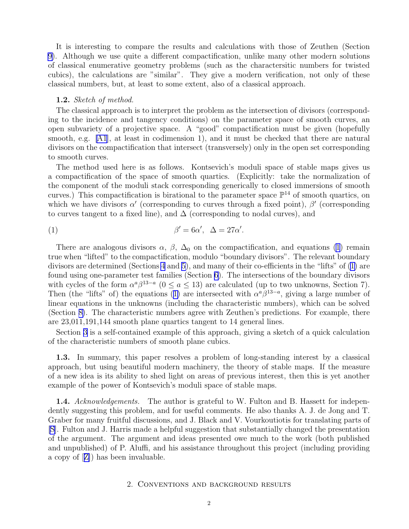<span id="page-1-0"></span>It is interesting to compare the results and calculations with those of Zeuthen (Section [9\)](#page-23-0). Although we use quite a different compactification, unlike many other modern solutions of classical enumerative geometry problems (such as the charactersitic numbers for twisted cubics), the calculations are "similar". They give a modern verification, not only of these classical numbers, but, at least to some extent, also of a classical approach.

### 1.2. *Sketch of method.*

The classical approach is to interpret the problem as the intersection of divisors (corresponding to the incidence and tangency conditions) on the parameter space of smooth curves, an open subvariety of a projective space. A "good" compactification must be given (hopefully smooth, e.g. [\[A1](#page-25-0)], at least in codimension 1), and it must be checked that there are natural divisors on the compactification that intersect (transversely) only in the open set corresponding to smooth curves.

The method used here is as follows. Kontsevich's moduli space of stable maps gives us a compactification of the space of smooth quartics. (Explicitly: take the normalization of the component of the moduli stack corresponding generically to closed immersions of smooth curves.) This compactification is birational to the parameter space  $\mathbb{P}^{14}$  of smooth quartics, on which we have divisors  $\alpha'$  (corresponding to curves through a fixed point),  $\beta'$  (corresponding to curves tangent to a fixed line), and  $\Delta$  (corresponding to nodal curves), and

(1) 
$$
\beta' = 6\alpha', \quad \Delta = 27\alpha'.
$$

There are analogous divisors  $\alpha$ ,  $\beta$ ,  $\Delta_0$  on the compactification, and equations (1) remain true when "lifted" to the compactification, modulo "boundary divisors". The relevant boundary divisors are determined (Sections [4](#page-5-0) and [5\)](#page-8-0), and many of their co-efficients in the "lifts" of (1) are found using one-parameter test families (Section [6\)](#page-13-0). The intersections of the boundary divisors with cycles of the form  $\alpha^a \beta^{13-a}$  ( $0 \le a \le 13$ ) are calculated (up to two unknowns, Section 7). Then (the "lifts" of) the equations (1) are intersected with  $\alpha^a \beta^{13-a}$ , giving a large number of linear equations in the unknowns (including the characteristic numbers), which can be solved (Section [8\)](#page-22-0). The characteristic numbers agree with Zeuthen's predictions. For example, there are 23,011,191,144 smooth plane quartics tangent to 14 general lines.

Section [3](#page-2-0) is a self-contained example of this approach, giving a sketch of a quick calculation of the characteristic numbers of smooth plane cubics.

1.3. In summary, this paper resolves a problem of long-standing interest by a classical approach, but using beautiful modern machinery, the theory of stable maps. If the measure of a new idea is its ability to shed light on areas of previous interest, then this is yet another example of the power of Kontsevich's moduli space of stable maps.

1.4. *Acknowledgements.* The author is grateful to W. Fulton and B. Hassett for independently suggesting this problem, and for useful comments. He also thanks A. J. de Jong and T. Graber for many fruitful discussions, and J. Black and V. Vourkoutiotis for translating parts of [\[S\]](#page-26-0). Fulton and J. Harris made a helpful suggestion that substantially changed the presentation of the argument. The argument and ideas presented owe much to the work (both published and unpublished) of P. Aluffi, and his assistance throughout this project (including providing a copy of[[Z\]](#page-26-0)) has been invaluable.

### 2. Conventions and background results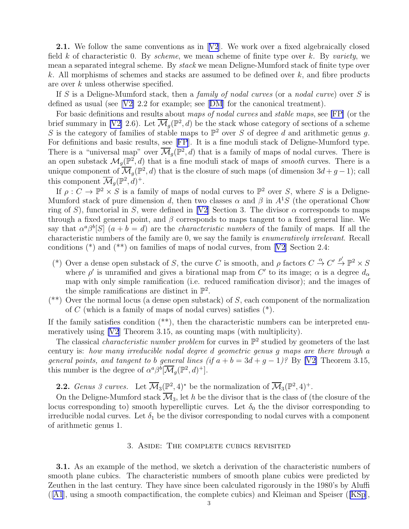<span id="page-2-0"></span>**2.1.**We follow the same conventions as in  $[V2]$  $[V2]$  $[V2]$ . We work over a fixed algebraically closed field k of characteristic 0. By *scheme*, we mean scheme of finite type over k. By *variety*, we mean a separated integral scheme. By *stack* we mean Deligne-Mumford stack of finite type over k. All morphisms of schemes and stacks are assumed to be defined over  $k$ , and fibre products are over k unless otherwise specified.

If S is a Deligne-Mumford stack, then a *family of nodal curves* (or a *nodal curve*) over S is definedas usual (see  $|V2|$  2.2 for example; see  $|DM|$  $|DM|$  $|DM|$  for the canonical treatment).

For basic definitions and results about *maps of nodal curves* and *stable maps*, see [\[FP\]](#page-25-0) (or the brief summary in [\[V2\]](#page-26-0) 2.6). Let  $\overline{\mathcal{M}}_g(\mathbb{P}^2, d)$  be the stack whose category of sections of a scheme S is the category of families of stable maps to  $\mathbb{P}^2$  over S of degree d and arithmetic genus g. For definitions and basic results, see[[FP](#page-25-0)]. It is a fine moduli stack of Deligne-Mumford type. There is a "universal map" over  $\overline{\mathcal{M}}_g(\mathbb{P}^2,d)$  that is a family of maps of nodal curves. There is an open substack  $\mathcal{M}_g(\mathbb{P}^2, d)$  that is a fine moduli stack of maps of *smooth* curves. There is a unique component of  $\overline{\mathcal{M}}_g(\mathbb{P}^2, d)$  that is the closure of such maps (of dimension  $3d + g - 1$ ); call this component  $\overline{\mathcal{M}}_g(\mathbb{P}^2,d)^+$ .

If  $\rho: C \to \mathbb{P}^2 \times S$  is a family of maps of nodal curves to  $\mathbb{P}^2$  over S, where S is a Deligne-Mumford stack of pure dimension d, then two classes  $\alpha$  and  $\beta$  in  $A^1S$  (the operational Chow ring of S), functorial in S, were defined in [\[V2](#page-26-0)] Section 3. The divisor  $\alpha$  corresponds to maps through a fixed general point, and  $\beta$  corresponds to maps tangent to a fixed general line. We say that  $\alpha^a \beta^b[S]$   $(a + b = d)$  are the *characteristic numbers* of the family of maps. If all the characteristic numbers of the family are 0, we say the family is *enumeratively irrelevant*. Recall conditions (\*) and (\*\*) on families of maps of nodal curves, from[[V2](#page-26-0)] Section 2.4:

- (\*) Over a dense open substack of S, the curve C is smooth, and  $\rho$  factors  $C \stackrel{\alpha}{\to} C' \stackrel{\rho'}{\to} \mathbb{P}^2 \times S$ where  $\rho'$  is unramified and gives a birational map from C' to its image;  $\alpha$  is a degree  $d_{\alpha}$ map with only simple ramification (i.e. reduced ramification divisor); and the images of the simple ramifications are distinct in  $\mathbb{P}^2$ .
- $(**)$  Over the normal locus (a dense open substack) of S, each component of the normalization of C (which is a family of maps of nodal curves) satisfies  $(*)$ .

If the family satisfies condition  $(**)$ , then the characteristic numbers can be interpreted enumeratively using [\[V2](#page-26-0)] Theorem 3.15, as counting maps (with multiplicity).

The classical *characteristic number problem* for curves in  $\mathbb{P}^2$  studied by geometers of the last century is: *how many irreducible nodal degree* d *geometric genus* g *maps are there through* a *general points, and tangent to b general lines (if*  $a + b = 3d + g - 1$ )? By [\[V2\]](#page-26-0) Theorem 3.15, this number is the degree of  $\alpha^a \beta^b [\overline{\mathcal{M}}_g(\mathbb{P}^2, d)^+]$ .

**2.2.** *Genus 3 curves.* Let  $\overline{\mathcal{M}}_3(\mathbb{P}^2, 4)^*$  be the normalization of  $\overline{\mathcal{M}}_3(\mathbb{P}^2, 4)^+$ .

On the Deligne-Mumford stack  $\overline{\mathcal{M}}_3$ , let h be the divisor that is the class of (the closure of the locus corresponding to) smooth hyperelliptic curves. Let  $\delta_0$  the the divisor corresponding to irreducible nodal curves. Let  $\delta_1$  be the divisor corresponding to nodal curves with a component of arithmetic genus 1.

## 3. Aside: The complete cubics revisited

3.1. As an example of the method, we sketch a derivation of the characteristic numbers of smooth plane cubics. The characteristic numbers of smooth plane cubics were predicted by Zeuthen in the last century. They have since been calculated rigorously in the 1980's by Aluffi ([[A1](#page-25-0)], using a smooth compactification, the complete cubics) and Kleiman and Speiser ([\[KSp](#page-25-0)],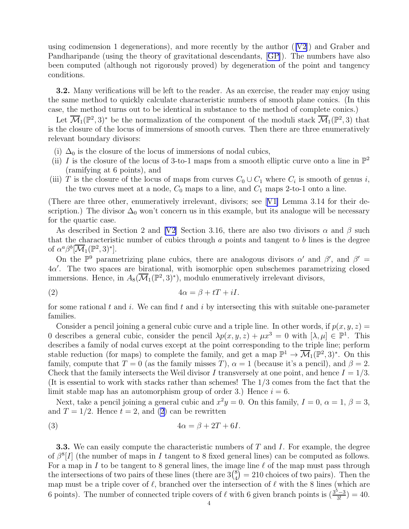<span id="page-3-0"></span>using codimension 1 degenerations), and more recently by the author  $(|V2|)$  and Graber and Pandharipande (using the theory of gravitational descendants, [[GP](#page-25-0)]). The numbers have also been computed (although not rigorously proved) by degeneration of the point and tangency conditions.

3.2. Many verifications will be left to the reader. As an exercise, the reader may enjoy using the same method to quickly calculate characteristic numbers of smooth plane conics. (In this case, the method turns out to be identical in substance to the method of complete conics.)

Let  $\overline{\mathcal{M}}_1(\mathbb{P}^2,3)^*$  be the normalization of the component of the moduli stack  $\overline{\mathcal{M}}_1(\mathbb{P}^2,3)$  that is the closure of the locus of immersions of smooth curves. Then there are three enumeratively relevant boundary divisors:

- (i)  $\Delta_0$  is the closure of the locus of immersions of nodal cubics,
- (ii) I is the closure of the locus of 3-to-1 maps from a smooth elliptic curve onto a line in  $\mathbb{P}^2$ (ramifying at 6 points), and
- (iii) T is the closure of the locus of maps from curves  $C_0 \cup C_1$  where  $C_i$  is smooth of genus i, the two curves meet at a node,  $C_0$  maps to a line, and  $C_1$  maps 2-to-1 onto a line.

(There are three other, enumeratively irrelevant, divisors; see[[V1\]](#page-26-0) Lemma 3.14 for their description.) The divisor  $\Delta_0$  won't concern us in this example, but its analogue will be necessary for the quartic case.

As described in Section 2 and [\[V2\]](#page-26-0) Section 3.16, there are also two divisors  $\alpha$  and  $\beta$  such that the characteristic number of cubics through  $a$  points and tangent to  $b$  lines is the degree of  $\alpha^a \beta^b[\overline{\mathcal{M}}_1(\mathbb{P}^2,3)^*]$ .

On the  $\mathbb{P}^9$  parametrizing plane cubics, there are analogous divisors  $\alpha'$  and  $\beta'$ , and  $\beta' =$  $4\alpha'$ . The two spaces are birational, with isomorphic open subschemes parametrizing closed immersions. Hence, in  $A_8(\overline{\mathcal{M}}_1(\mathbb{P}^2,3)^*)$ , modulo enumeratively irrelevant divisors,

$$
(2) \t\t 4\alpha = \beta + tT + iI.
$$

for some rational t and i. We can find t and i by intersecting this with suitable one-parameter families.

Consider a pencil joining a general cubic curve and a triple line. In other words, if  $p(x, y, z) =$ 0 describes a general cubic, consider the pencil  $\lambda p(x, y, z) + \mu x^3 = 0$  with  $[\lambda, \mu] \in \mathbb{P}^1$ . This describes a family of nodal curves except at the point corresponding to the triple line; perform stable reduction (for maps) to complete the family, and get a map  $\mathbb{P}^1 \to \overline{\mathcal{M}}_1(\mathbb{P}^2,3)^*$ . On this family, compute that  $T = 0$  (as the family misses T),  $\alpha = 1$  (because it's a pencil), and  $\beta = 2$ . Check that the family intersects the Weil divisor I transversely at one point, and hence  $I = 1/3$ . (It is essential to work with stacks rather than schemes! The 1/3 comes from the fact that the limit stable map has an automorphism group of order 3.) Hence  $i = 6$ .

Next, take a pencil joining a general cubic and  $x^2y = 0$ . On this family,  $I = 0$ ,  $\alpha = 1$ ,  $\beta = 3$ , and  $T = 1/2$ . Hence  $t = 2$ , and (2) can be rewritten

$$
(3) \t\t\t 4\alpha = \beta + 2T + 6I.
$$

**3.3.** We can easily compute the characteristic numbers of  $T$  and  $I$ . For example, the degree of  $\beta^{8}[I]$  (the number of maps in I tangent to 8 fixed general lines) can be computed as follows. For a map in I to be tangent to 8 general lines, the image line  $\ell$  of the map must pass through the intersections of two pairs of these lines (there are  $3\binom{8}{4}$  $_{4}^{8}$ ) = 210 choices of two pairs). Then the map must be a triple cover of  $\ell$ , branched over the intersection of  $\ell$  with the 8 lines (which are 6 points). The number of connected triple covers of  $\ell$  with 6 given branch points is  $\left(\frac{3^{\frac{5}{3}}-3}{3!}\right)=40$ .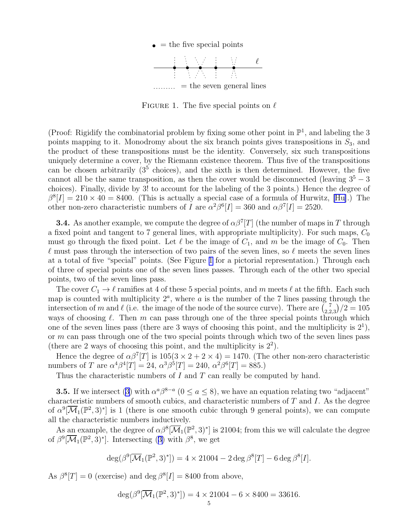

FIGURE 1. The five special points on  $\ell$ 

<span id="page-4-0"></span>(Proof: Rigidify the combinatorial problem by fixing some other point in  $\mathbb{P}^1$ , and labeling the 3 points mapping to it. Monodromy about the six branch points gives transpositions in  $S_3$ , and the product of these transpositions must be the identity. Conversely, six such transpositions uniquely determine a cover, by the Riemann existence theorem. Thus five of the transpositions can be chosen arbitrarily  $(3^5 \text{ choices})$ , and the sixth is then determined. However, the five cannot all be the same transposition, as then the cover would be disconnected (leaving  $3<sup>5</sup> - 3$ ) choices). Finally, divide by 3! to account for the labeling of the 3 points.) Hence the degree of  $\beta^8[I] = 210 \times 40 = 8400.$  (This is actually a special case of a formula of Hurwitz, [\[Hu\]](#page-25-0).) The other non-zero characteristic numbers of I are  $\alpha^2\beta^6[I] = 360$  and  $\alpha\beta^7[I] = 2520$ .

**3.4.** As another example, we compute the degree of  $\alpha\beta^{7}[T]$  (the number of maps in T through a fixed point and tangent to 7 general lines, with appropriate multiplicity). For such maps,  $C_0$ must go through the fixed point. Let  $\ell$  be the image of  $C_1$ , and m be the image of  $C_0$ . Then  $\ell$  must pass through the intersection of two pairs of the seven lines, so  $\ell$  meets the seven lines at a total of five "special" points. (See Figure 1 for a pictorial representation.) Through each of three of special points one of the seven lines passes. Through each of the other two special points, two of the seven lines pass.

The cover  $C_1 \rightarrow \ell$  ramifies at 4 of these 5 special points, and m meets  $\ell$  at the fifth. Each such map is counted with multiplicity  $2^a$ , where a is the number of the 7 lines passing through the intersection of m and  $\ell$  (i.e. the image of the node of the source curve). There are  $\binom{7}{2}$  $\binom{7}{2,2,3}/2 = 105$ ways of choosing  $\ell$ . Then m can pass through one of the three special points through which one of the seven lines pass (there are 3 ways of choosing this point, and the multiplicity is  $2^1$ ), or  $m$  can pass through one of the two special points through which two of the seven lines pass (there are 2 ways of choosing this point, and the multiplicity is  $2^2$ ).

Hence the degree of  $\alpha\beta^7[T]$  is  $105(3 \times 2 + 2 \times 4) = 1470$ . (The other non-zero characteristic numbers of T are  $\alpha^4 \beta^4[T] = 24, \ \alpha^3 \beta^5[T] = 240, \ \alpha^2 \beta^6[T] = 885.$ )

Thus the characteristic numbers of  $I$  and  $T$  can really be computed by hand.

**3.5.**If we intersect ([3\)](#page-3-0) with  $\alpha^a \beta^{8-a}$  ( $0 \le a \le 8$ ), we have an equation relating two "adjacent" characteristic numbers of smooth cubics, and characteristic numbers of  $T$  and  $I$ . As the degree of  $\alpha^{9}[\overline{\mathcal{M}}_1(\mathbb{P}^2,3)^*]$  is 1 (there is one smooth cubic through 9 general points), we can compute all the characteristic numbers inductively.

As an example, the degree of  $\alpha\beta^8[\overline{M}_1(\mathbb{P}^2,3)^*]$  is 21004; from this we will calculate the degree of $\beta^9[\overline{\mathcal{M}}_1(\mathbb{P}^2,3)^*]$  $\beta^9[\overline{\mathcal{M}}_1(\mathbb{P}^2,3)^*]$  $\beta^9[\overline{\mathcal{M}}_1(\mathbb{P}^2,3)^*]$ . Intersecting (3) with  $\beta^8$ , we get

$$
\deg(\beta^9[\overline{\mathcal{M}}_1(\mathbb{P}^2,3)^*]) = 4 \times 21004 - 2 \deg \beta^8[T] - 6 \deg \beta^8[I].
$$

As  $\beta^{8}[T] = 0$  (exercise) and deg  $\beta^{8}[I] = 8400$  from above,

$$
\deg(\beta^9[\overline{\mathcal{M}}_1(\mathbb{P}^2,3)^*]) = 4 \times 21004 - 6 \times 8400 = 33616.
$$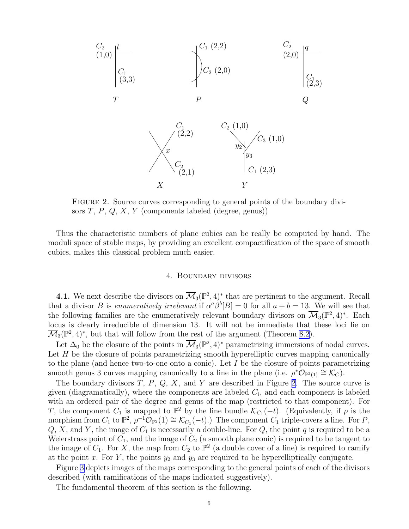<span id="page-5-0"></span>

Figure 2. Source curves corresponding to general points of the boundary divisors  $T, P, Q, X, Y$  (components labeled (degree, genus))

Thus the characteristic numbers of plane cubics can be really be computed by hand. The moduli space of stable maps, by providing an excellent compactification of the space of smooth cubics, makes this classical problem much easier.

### 4. Boundary divisors

**4.1.** We next describe the divisors on  $\overline{\mathcal{M}}_3(\mathbb{P}^2, 4)^*$  that are pertinent to the argument. Recall that a divisor *B* is *enumeratively irrelevant* if  $\alpha^a \beta^b[B] = 0$  for all  $a + b = 13$ . We will see that the following families are the enumeratively relevant boundary divisors on  $\overline{\mathcal{M}}_3(\mathbb{P}^2, 4)^*$ . Each locus is clearly irreducible of dimension 13. It will not be immediate that these loci lie on  $\overline{\mathcal{M}}_3(\mathbb{P}^2, 4)^*$ , but that will follow from the rest of the argument (Theorem [8.2](#page-23-0)).

Let  $\Delta_0$  be the closure of the points in  $\overline{\mathcal{M}}_3(\mathbb{P}^2, 4)^*$  parametrizing immersions of nodal curves. Let  $H$  be the closure of points parametrizing smooth hyperelliptic curves mapping canonically to the plane (and hence two-to-one onto a conic). Let I be the closure of points parametrizing smooth genus 3 curves mapping canonically to a line in the plane (i.e.  $\rho^*\mathcal{O}_{\mathbb{P}^2(1)} \cong \mathcal{K}_C$ ).

The boundary divisors  $T$ ,  $P$ ,  $Q$ ,  $X$ , and  $Y$  are described in Figure 2. The source curve is given (diagramatically), where the components are labeled  $C_i$ , and each component is labeled with an ordered pair of the degree and genus of the map (restricted to that component). For T, the component  $C_1$  is mapped to  $\mathbb{P}^2$  by the line bundle  $\mathcal{K}_{C_1}(-t)$ . (Equivalently, if  $\rho$  is the morphism from  $C_1$  to  $\mathbb{P}^2$ ,  $\rho^{-1}\mathcal{O}_{\mathbb{P}^2}(1) \cong \mathcal{K}_{C_1}(-t)$ .) The component  $C_1$  triple-covers a line. For P,  $Q, X$ , and Y, the image of  $C_1$  is necessarily a double-line. For  $Q$ , the point  $q$  is required to be a Weierstrass point of  $C_1$ , and the image of  $C_2$  (a smooth plane conic) is required to be tangent to the image of  $C_1$ . For X, the map from  $C_2$  to  $\mathbb{P}^2$  (a double cover of a line) is required to ramify at the point x. For Y, the points  $y_2$  and  $y_3$  are required to be hyperelliptically conjugate.

Figure [3](#page-6-0) depicts images of the maps corresponding to the general points of each of the divisors described (with ramifications of the maps indicated suggestively).

The fundamental theorem of this section is the following.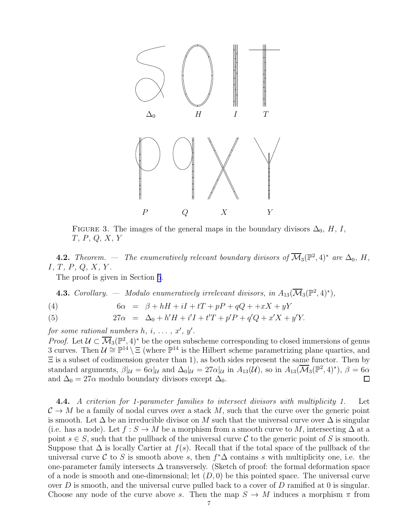<span id="page-6-0"></span>

FIGURE 3. The images of the general maps in the boundary divisors  $\Delta_0$ , H, I, T, P, Q, X, Y

**4.2.** *Theorem.* — *The enumeratively relevant boundary divisors of*  $\overline{\mathcal{M}}_3(\mathbb{P}^2, 4)^*$  *are*  $\Delta_0$ *, H,* I*,* T*,* P*,* Q*,* X*,* Y *.*

The proof is given in Section [5](#page-8-0).

**4.3.** *Corollary.* — *Modulo enumeratively irrelevant divisors, in*  $A_{13}(\overline{\mathcal{M}}_3(\mathbb{P}^2,4)^*)$ ,

$$
(4) \qquad 6\alpha = \beta + hH + iI + tT + pP + qQ + +xX + yY
$$

(5) 
$$
27\alpha = \Delta_0 + h'H + i'I + t'T + p'P + q'Q + x'X + y'Y.
$$

*for some rational numbers*  $h, i, \ldots, x', y'$ .

*Proof.* Let  $\mathcal{U} \subset \overline{\mathcal{M}}_3(\mathbb{P}^2, 4)^*$  be the open subscheme corresponding to closed immersions of genus 3 curves. Then  $\mathcal{U} \cong \mathbb{P}^{14} \setminus \Xi$  (where  $\mathbb{P}^{14}$  is the Hilbert scheme parametrizing plane quartics, and  $\Xi$  is a subset of codimension greater than 1), as both sides represent the same functor. Then by standard arguments,  $\beta|_{\mathcal{U}} = 6\alpha|_{\mathcal{U}}$  and  $\Delta_0|_{\mathcal{U}} = 27\alpha|_{\mathcal{U}}$  in  $A_{13}(\mathcal{U})$ , so in  $A_{13}(\overline{\mathcal{M}}_3(\mathbb{P}^2, 4)^*)$ ,  $\beta = 6\alpha$ and  $\Delta_0 = 27\alpha$  modulo boundary divisors except  $\Delta_0$ .  $\Box$ 

4.4. *A criterion for 1-parameter families to intersect divisors with multiplicity 1.* Let  $\mathcal{C} \to M$  be a family of nodal curves over a stack M, such that the curve over the generic point is smooth. Let  $\Delta$  be an irreducible divisor on M such that the universal curve over  $\Delta$  is singular (i.e. has a node). Let  $f : S \to M$  be a morphism from a smooth curve to M, intersecting  $\Delta$  at a point  $s \in S$ , such that the pullback of the universal curve C to the generic point of S is smooth. Suppose that  $\Delta$  is locally Cartier at  $f(s)$ . Recall that if the total space of the pullback of the universal curve C to S is smooth above s, then  $f^*\Delta$  contains s with multiplicity one, i.e. the one-parameter family intersects  $\Delta$  transversely. (Sketch of proof: the formal deformation space of a node is smooth and one-dimensional; let  $(D, 0)$  be this pointed space. The universal curve over D is smooth, and the universal curve pulled back to a cover of D ramified at 0 is singular. Choose any node of the curve above s. Then the map  $S \to M$  induces a morphism  $\pi$  from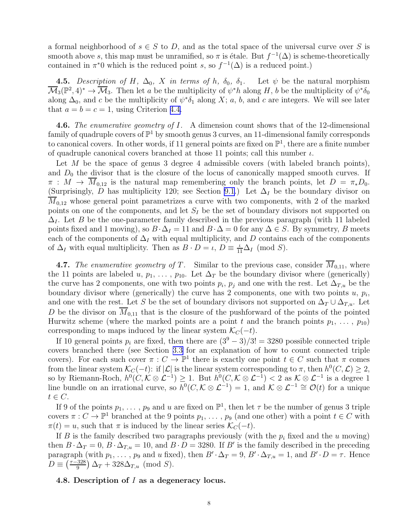<span id="page-7-0"></span>a formal neighborhood of  $s \in S$  to D, and as the total space of the universal curve over S is smooth above s, this map must be unramified, so  $\pi$  is étale. But  $f^{-1}(\Delta)$  is scheme-theoretically contained in  $\pi^*0$  which is the reduced point s, so  $f^{-1}(\Delta)$  is a reduced point.)

4.5. *Description of H,*  $\Delta_0$ , X *in terms of h,*  $\delta_0$ ,  $\delta_1$ . Let  $\psi$  be the natural morphism  $\overline{\mathcal{M}}_3(\mathbb{P}^2,4)^* \to \overline{\mathcal{M}}_3$ . Then let a be the multiplicity of  $\psi^*h$  along H, b be the multiplicity of  $\psi^*\delta_0$ along  $\Delta_0$ , and c be the multiplicity of  $\psi^*\delta_1$  along X; a, b, and c are integers. We will see later that  $a = b = c = 1$ , using Criterion [4.4.](#page-6-0)

4.6. *The enumerative geometry of* I*.* A dimension count shows that of the 12-dimensional family of quadruple covers of  $\mathbb{P}^1$  by smooth genus 3 curves, an 11-dimensional family corresponds to canonical covers. In other words, if 11 general points are fixed on  $\mathbb{P}^1$ , there are a finite number of quadruple canonical covers branched at those 11 points; call this number  $\iota$ .

Let  $M$  be the space of genus 3 degree 4 admissible covers (with labeled branch points), and  $D_0$  the divisor that is the closure of the locus of canonically mapped smooth curves. If  $\pi : M \to M_{0,12}$  is the natural map remembering only the branch points, let  $D = \pi_* D_0$ . (Surprisingly, D has multiplicity 120; see Section [9.1](#page-25-0).) Let  $\Delta_I$  be the boundary divisor on  $M<sub>0.12</sub>$  whose general point parametrizes a curve with two components, with 2 of the marked points on one of the components, and let  $S_I$  be the set of boundary divisors not supported on  $\Delta_I$ . Let B be the one-parameter family described in the previous paragraph (with 11 labeled points fixed and 1 moving), so  $B \cdot \Delta_I = 11$  and  $B \cdot \Delta = 0$  for any  $\Delta \in S$ . By symmetry, B meets each of the components of  $\Delta_I$  with equal multiplicity, and D contains each of the components of  $\Delta_I$  with equal multiplicity. Then as  $B \cdot D = \iota$ ,  $D \equiv \frac{\iota}{11} \Delta_I$  (mod *S*).

4.7. The enumerative geometry of T. Similar to the previous case, consider  $M_{0,11}$ , where the 11 points are labeled u,  $p_1, \ldots, p_{10}$ . Let  $\Delta_T$  be the boundary divisor where (generically) the curve has 2 components, one with two points  $p_i$ ,  $p_j$  and one with the rest. Let  $\Delta_{T,u}$  be the boundary divisor where (generically) the curve has 2 components, one with two points  $u, p_i$ , and one with the rest. Let S be the set of boundary divisors not supported on  $\Delta_T \cup \Delta_{T,u}$ . Let D be the divisor on  $\overline{M}_{0,11}$  that is the closure of the pushforward of the points of the pointed Hurwitz scheme (where the marked points are a point t and the branch points  $p_1, \ldots, p_{10}$ ) corresponding to maps induced by the linear system  $\mathcal{K}_C(-t)$ .

If 10 general points  $p_i$  are fixed, then there are  $(3^9-3)/3! = 3280$  possible connected triple covers branched there (see Section [3.3](#page-3-0) for an explanation of how to count connected triple covers). For each such cover  $\pi: C \to \mathbb{P}^1$  there is exactly one point  $t \in C$  such that  $\pi$  comes from the linear system  $\mathcal{K}_C(-t)$ : if  $|\mathcal{L}|$  is the linear system corresponding to  $\pi$ , then  $h^0(C,\mathcal{L}) \geq 2$ , so by Riemann-Roch,  $h^0(C, K \otimes L^{-1}) \geq 1$ . But  $h^0(C, K \otimes L^{-1}) < 2$  as  $K \otimes L^{-1}$  is a degree 1 line bundle on an irrational curve, so  $\overline{h}^0(C, K \otimes L^{-1}) = 1$ , and  $K \otimes L^{-1} \cong \mathcal{O}(t)$  for a unique  $t \in C$ .

If 9 of the points  $p_1, \ldots, p_9$  and u are fixed on  $\mathbb{P}^1$ , then let  $\tau$  be the number of genus 3 triple covers  $\pi: C \to \mathbb{P}^1$  branched at the 9 points  $p_1, \ldots, p_9$  (and one other) with a point  $t \in C$  with  $\pi(t) = u$ , such that  $\pi$  is induced by the linear series  $\mathcal{K}_C(-t)$ .

If B is the family described two paragraphs previously (with the  $p_i$  fixed and the u moving) then  $B \cdot \Delta_T = 0$ ,  $\overline{B} \cdot \Delta_{T,u} = 10$ , and  $\overline{B} \cdot \overline{D} = 3280$ . If B' is the family described in the preceding paragraph (with  $p_1, \ldots, p_9$  and u fixed), then  $B' \cdot \Delta_T = 9$ ,  $B' \cdot \Delta_{T,u} = 1$ , and  $B' \cdot D = \tau$ . Hence  $D \equiv \left(\frac{\tau-328}{9}\right)$  $\left(\frac{328}{9}\right)\Delta_{T} + 328\Delta_{T,u} \pmod{S}.$ 

## 4.8. Description of I as a degeneracy locus.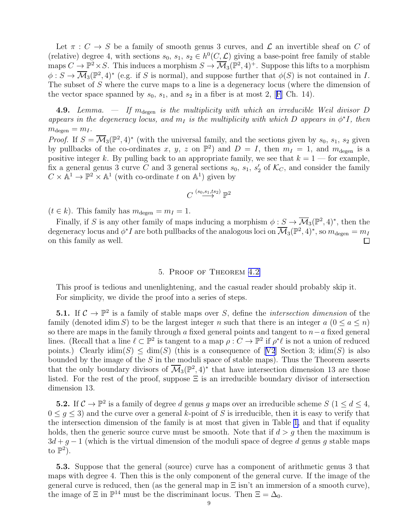<span id="page-8-0"></span>Let  $\pi : C \to S$  be a family of smooth genus 3 curves, and  $\mathcal L$  an invertible sheaf on C of (relative) degree 4, with sections  $s_0, s_1, s_2 \in h^0(C, \mathcal{L})$  giving a base-point free family of stable maps  $C \to \mathbb{P}^2 \times S$ . This induces a morphism  $S \to \overline{\mathcal{M}}_3(\mathbb{P}^2, 4)^+$ . Suppose this lifts to a morphism  $\phi: S \to \overline{\mathcal{M}}_3(\mathbb{P}^2, 4)^*$  (e.g. if S is normal), and suppose further that  $\phi(S)$  is not contained in I. The subset of S where the curve maps to a line is a degeneracy locus (where the dimension of thevector space spanned by  $s_0$ ,  $s_1$ , and  $s_2$  in a fiber is at most 2, [[F](#page-25-0)] Ch. 14).

4.9. *Lemma.*  $-$  *If*  $m_{\text{degen}}$  *is the multiplicity with which an irreducible Weil divisor D appears in the degeneracy locus, and*  $m<sub>I</sub>$  *is the multiplicity with which* D *appears in*  $\phi^*I$ *, then*  $m_{\text{degen}} = m_I$ .

*Proof.* If  $S = \overline{\mathcal{M}}_3(\mathbb{P}^2, 4)^*$  (with the universal family, and the sections given by  $s_0, s_1, s_2$  given by pullbacks of the co-ordinates x, y, z on  $\mathbb{P}^2$ ) and  $D = I$ , then  $m_I = 1$ , and  $m_{\text{degen}}$  is a positive integer k. By pulling back to an appropriate family, we see that  $k = 1$  — for example, fix a general genus 3 curve C and 3 general sections  $s_0, s_1, s'_2$  $\mathcal{L}_2'$  of  $\mathcal{K}_C$ , and consider the family  $C \times \mathbb{A}^1 \to \mathbb{P}^2 \times \mathbb{A}^1$  (with co-ordinate t on  $\mathbb{A}^1$ ) given by

$$
C \stackrel{(s_0, s_1, ts_2)}{\longrightarrow} \mathbb{P}^2
$$

 $(t \in k)$ . This family has  $m_{\text{degen}} = m_I = 1$ .

Finally, if S is any other family of maps inducing a morphism  $\phi: S \to \overline{\mathcal{M}}_3(\mathbb{P}^2, 4)^*$ , then the degeneracy locus and  $\phi^* I$  are both pullbacks of the analogous loci on  $\overline{\mathcal M}_3(\mathbb P^2,4)^*,$  so  $m_\text{degen}=m_I$ on this family as well. П

# 5. Proof of Theorem [4.2](#page-5-0)

This proof is tedious and unenlightening, and the casual reader should probably skip it. For simplicity, we divide the proof into a series of steps.

**5.1.** If  $C \to \mathbb{P}^2$  is a family of stable maps over S, define the *intersection dimension* of the family (denoted idim S) to be the largest integer n such that there is an integer  $a (0 \le a \le n)$ so there are maps in the family through a fixed general points and tangent to  $n-a$  fixed general lines. (Recall that a line  $\ell \subset \mathbb{P}^2$  is tangent to a map  $\rho: C \to \mathbb{P}^2$  if  $\rho^* \ell$  is not a union of reduced points.)Clearly  $\dim(S) \leq \dim(S)$  (this is a consequence of [[V2](#page-26-0)] Section 3;  $\dim(S)$  is also bounded by the image of the  $S$  in the moduli space of stable maps). Thus the Theorem asserts that the only boundary divisors of  $\overline{\mathcal{M}}_3(\mathbb{P}^2, 4)^*$  that have intersection dimension 13 are those listed. For the rest of the proof, suppose  $\Xi$  is an irreducible boundary divisor of intersection dimension 13.

**5.2.** If  $\mathcal{C} \to \mathbb{P}^2$  is a family of degree d genus g maps over an irreducible scheme  $S$   $(1 \leq d \leq 4,$  $0 \leq q \leq 3$ ) and the curve over a general k-point of S is irreducible, then it is easy to verify that the intersection dimension of the family is at most that given in Table [1,](#page-9-0) and that if equality holds, then the generic source curve must be smooth. Note that if  $d > g$  then the maximum is  $3d+g-1$  (which is the virtual dimension of the moduli space of degree d genus g stable maps to  $\mathbb{P}^2$ ).

5.3. Suppose that the general (source) curve has a component of arithmetic genus 3 that maps with degree 4. Then this is the only component of the general curve. If the image of the general curve is reduced, then (as the general map in  $\Xi$  isn't an immersion of a smooth curve), the image of  $\Xi$  in  $\mathbb{P}^{14}$  must be the discriminant locus. Then  $\Xi = \Delta_0$ .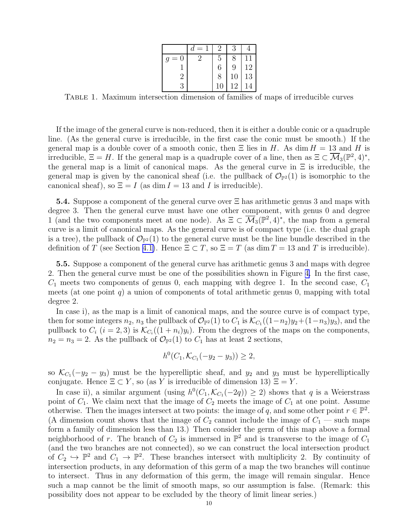|                | $=$<br>d                    | 2  | 3  |    |
|----------------|-----------------------------|----|----|----|
| $= 0$<br>q     | $\mathcal{D}_{\mathcal{A}}$ | 5  | 8  | 11 |
|                |                             | 6  | 9  | 12 |
| $\overline{2}$ |                             | 8  | 10 | 13 |
| 3              |                             | 10 | 12 |    |

<span id="page-9-0"></span>Table 1. Maximum intersection dimension of families of maps of irreducible curves

If the image of the general curve is non-reduced, then it is either a double conic or a quadruple line. (As the general curve is irreducible, in the first case the conic must be smooth.) If the general map is a double cover of a smooth conic, then  $\Xi$  lies in H. As dim  $H = 13$  and H is irreducible,  $\Xi = H$ . If the general map is a quadruple cover of a line, then as  $\Xi \subset \overline{\mathcal{M}}_3(\mathbb{P}^2, 4)^*$ , the general map is a limit of canonical maps. As the general curve in  $\Xi$  is irreducible, the general map is given by the canonical sheaf (i.e. the pullback of  $\mathcal{O}_{\mathbb{P}^2}(1)$  is isomorphic to the canonical sheaf), so  $\Xi = I$  (as dim  $I = 13$  and I is irreducible).

5.4. Suppose a component of the general curve over Ξ has arithmetic genus 3 and maps with degree 3. Then the general curve must have one other component, with genus 0 and degree 1 (and the two components meet at one node). As  $\Xi \subset \overline{\mathcal{M}}_3(\mathbb{P}^2, 4)^*$ , the map from a general curve is a limit of canonical maps. As the general curve is of compact type (i.e. the dual graph is a tree), the pullback of  $\mathcal{O}_{\mathbb{P}^2}(1)$  to the general curve must be the line bundle described in the definition of T (see Section [4.1\)](#page-5-0). Hence  $\Xi \subset T$ , so  $\Xi = T$  (as dim  $T = 13$  and T is irreducible).

5.5. Suppose a component of the general curve has arithmetic genus 3 and maps with degree 2. Then the general curve must be one of the possibilities shown in Figure [4.](#page-10-0) In the first case,  $C_1$  meets two components of genus 0, each mapping with degree 1. In the second case,  $C_1$ meets (at one point q) a union of components of total arithmetic genus 0, mapping with total degree 2.

In case i), as the map is a limit of canonical maps, and the source curve is of compact type, then for some integers  $n_2$ ,  $n_3$  the pullback of  $\mathcal{O}_{\mathbb{P}^2}(1)$  to  $C_1$  is  $\mathcal{K}_{C_1}((1-n_2)y_2+(1-n_3)y_3)$ , and the pullback to  $C_i$   $(i = 2, 3)$  is  $\mathcal{K}_{C_i}((1 + n_i)y_i)$ . From the degrees of the maps on the components,  $n_2 = n_3 = 2$ . As the pullback of  $\mathcal{O}_{\mathbb{P}^2}(1)$  to  $C_1$  has at least 2 sections,

$$
h^{0}(C_{1}, \mathcal{K}_{C_{1}}(-y_{2}-y_{3})) \geq 2,
$$

so  $\mathcal{K}_{C_1}(-y_2 - y_3)$  must be the hyperelliptic sheaf, and  $y_2$  and  $y_3$  must be hyperelliptically conjugate. Hence  $\Xi \subset Y$ , so (as Y is irreducible of dimension 13)  $\Xi = Y$ .

In case ii), a similar argument (using  $h^0(C_1, \mathcal{K}_{C_1}(-2q)) \geq 2$ ) shows that q is a Weierstrass point of  $C_1$ . We claim next that the image of  $C_2$  meets the image of  $C_1$  at one point. Assume otherwise. Then the images intersect at two points: the image of q, and some other point  $r \in \mathbb{P}^2$ . (A dimension count shows that the image of  $C_2$  cannot include the image of  $C_1$  — such maps form a family of dimension less than 13.) Then consider the germ of this map above a formal neighborhood of r. The branch of  $C_2$  is immersed in  $\mathbb{P}^2$  and is transverse to the image of  $C_1$ (and the two branches are not connected), so we can construct the local intersection product of  $C_2 \hookrightarrow \mathbb{P}^2$  and  $C_1 \to \mathbb{P}^2$ . These branches intersect with multiplicity 2. By continuity of intersection products, in any deformation of this germ of a map the two branches will continue to intersect. Thus in any deformation of this germ, the image will remain singular. Hence such a map cannot be the limit of smooth maps, so our assumption is false. (Remark: this possibility does not appear to be excluded by the theory of limit linear series.)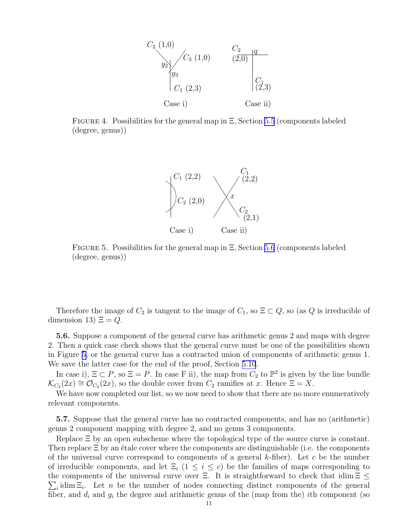

<span id="page-10-0"></span>FIGURE 4. Possibilities for the general map in  $\Xi$ , Section [5.5](#page-9-0) (components labeled (degree, genus))



FIGURE 5. Possibilities for the general map in  $\Xi$ , Section 5.6 (components labeled (degree, genus))

Therefore the image of  $C_2$  is tangent to the image of  $C_1$ , so  $\Xi \subset Q$ , so (as Q is irreducible of dimension 13)  $\Xi = Q$ .

5.6. Suppose a component of the general curve has arithmetic genus 2 and maps with degree 2. Then a quick case check shows that the general curve must be one of the possibilities shown in Figure 5, or the general curve has a contracted union of components of arithmetic genus 1. We save the latter case for the end of the proof, Section [5.10](#page-12-0).

In case i),  $\Xi \subset P$ , so  $\Xi = P$ . In case F ii), the map from  $C_2$  to  $\mathbb{P}^2$  is given by the line bundle  $\mathcal{K}_{C_2}(2x) \cong \mathcal{O}_{C_2}(2x)$ , so the double cover from  $C_2$  ramifies at x. Hence  $\Xi = X$ .

We have now completed our list, so we now need to show that there are no more enumeratively relevant components.

5.7. Suppose that the general curve has no contracted components, and has no (arithmetic) genus 2 component mapping with degree 2, and no genus 3 components.

Replace Ξ by an open subscheme where the topological type of the source curve is constant. Then replace  $\Xi$  by an étale cover where the components are distinguishable (i.e. the components of the universal curve correspond to components of a general  $k$ -fiber). Let c be the number of irreducible components, and let  $\Xi_i$  (1  $\leq i \leq c$ ) be the families of maps corresponding to the components of the universal curve over  $\Xi$ . It is straightforward to check that idim  $\Xi \leq$  $\sum_i$ idim  $\Xi_i$ . Let n be the number of nodes connecting distinct components of the general fiber, and  $d_i$  and  $g_i$  the degree and arithmetic genus of the (map from the) ith component (so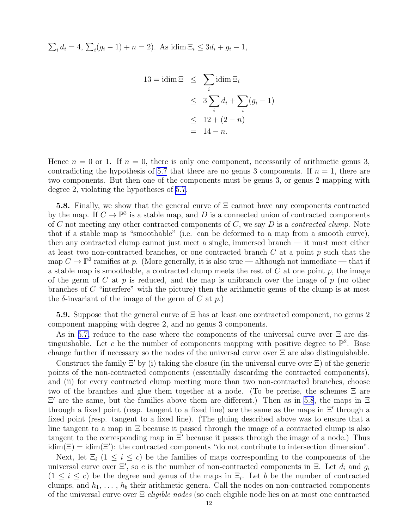<span id="page-11-0"></span> $\sum_i d_i = 4, \sum_i (g_i - 1) + n = 2$ . As idim  $\Xi_i \le 3d_i + g_i - 1$ ,

$$
13 = idim \Xi \leq \sum_{i} idim \Xi_{i}
$$
  
\n
$$
\leq 3 \sum_{i} d_{i} + \sum_{i} (g_{i} - 1)
$$
  
\n
$$
\leq 12 + (2 - n)
$$
  
\n
$$
= 14 - n.
$$

Hence  $n = 0$  or 1. If  $n = 0$ , there is only one component, necessarily of arithmetic genus 3, contradicting the hypothesis of [5.7](#page-10-0) that there are no genus 3 components. If  $n = 1$ , there are two components. But then one of the components must be genus 3, or genus 2 mapping with degree 2, violating the hypotheses of [5.7](#page-10-0).

5.8. Finally, we show that the general curve of Ξ cannot have any components contracted by the map. If  $C \to \mathbb{P}^2$  is a stable map, and D is a connected union of contracted components of C not meeting any other contracted components of C, we say D is a *contracted clump*. Note that if a stable map is "smoothable" (i.e. can be deformed to a map from a smooth curve), then any contracted clump cannot just meet a single, immersed branch — it must meet either at least two non-contracted branches, or one contracted branch  $C$  at a point  $p$  such that the map  $C \to \mathbb{P}^2$  ramifies at p. (More generally, it is also true — although not immediate — that if a stable map is smoothable, a contracted clump meets the rest of  $C$  at one point  $p$ , the image of the germ of C at p is reduced, and the map is unibranch over the image of p (no other branches of  $C$  "interfere" with the picture) then the arithmetic genus of the clump is at most the  $\delta$ -invariant of the image of the germ of C at p.)

5.9. Suppose that the general curve of Ξ has at least one contracted component, no genus 2 component mapping with degree 2, and no genus 3 components.

As in [5.7,](#page-10-0) reduce to the case where the components of the universal curve over Ξ are distinguishable. Let c be the number of components mapping with positive degree to  $\mathbb{P}^2$ . Base change further if necessary so the nodes of the universal curve over Ξ are also distinguishable.

Construct the family  $\Xi'$  by (i) taking the closure (in the universal curve over  $\Xi$ ) of the generic points of the non-contracted components (essentially discarding the contracted components), and (ii) for every contracted clump meeting more than two non-contracted branches, choose two of the branches and glue them together at a node. (To be precise, the schemes Ξ are  $\Xi'$  are the same, but the families above them are different.) Then as in 5.8, the maps in  $\Xi$ through a fixed point (resp. tangent to a fixed line) are the same as the maps in Ξ′ through a fixed point (resp. tangent to a fixed line). (The gluing described above was to ensure that a line tangent to a map in Ξ because it passed through the image of a contracted clump is also tangent to the corresponding map in Ξ′ because it passes through the image of a node.) Thus  $\text{idim}(\Xi) = \text{idim}(\Xi')$ : the contracted components "do not contribute to intersection dimension".

Next, let  $\Xi_i$  (1  $\leq i \leq c$ ) be the families of maps corresponding to the components of the universal curve over  $\Xi'$ , so c is the number of non-contracted components in  $\Xi$ . Let  $d_i$  and  $g_i$  $(1 \leq i \leq c)$  be the degree and genus of the maps in  $\Xi_i$ . Let b be the number of contracted clumps, and  $h_1, \ldots, h_b$  their arithmetic genera. Call the nodes on non-contracted components of the universal curve over Ξ *eligible nodes* (so each eligible node lies on at most one contracted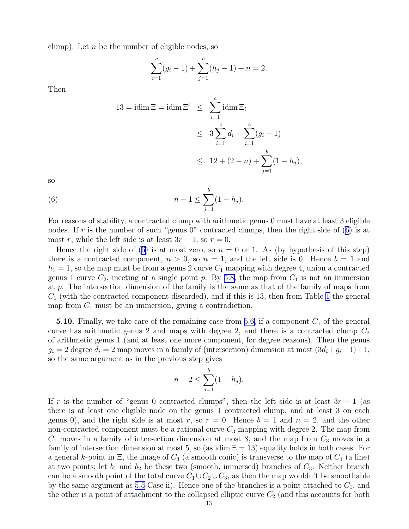<span id="page-12-0"></span>clump). Let  $n$  be the number of eligible nodes, so

$$
\sum_{i=1}^{c} (g_i - 1) + \sum_{j=1}^{b} (h_j - 1) + n = 2.
$$

Then

$$
13 = idim \Xi = idim \Xi' \le \sum_{i=1}^{c} idim \Xi_{i}
$$
  

$$
\le 3 \sum_{i=1}^{c} d_{i} + \sum_{i=1}^{c} (g_{i} - 1)
$$
  

$$
\le 12 + (2 - n) + \sum_{j=1}^{b} (1 - h_{j}),
$$

so

(6) 
$$
n-1 \leq \sum_{j=1}^{b} (1-h_j).
$$

For reasons of stability, a contracted clump with arithmetic genus 0 must have at least 3 eligible nodes. If r is the number of such "genus  $0$ " contracted clumps, then the right side of  $(6)$  is at most r, while the left side is at least  $3r - 1$ , so  $r = 0$ .

Hence the right side of (6) is at most zero, so  $n = 0$  or 1. As (by hypothesis of this step) there is a contracted component,  $n > 0$ , so  $n = 1$ , and the left side is 0. Hence  $b = 1$  and  $h_1 = 1$ , so the map must be from a genus 2 curve  $C_1$  mapping with degree 4, union a contracted genus 1 curve  $C_2$ , meeting at a single point p. By [5.8,](#page-11-0) the map from  $C_1$  is not an immersion at p. The intersection dimension of the family is the same as that of the family of maps from  $C_1$  (with the contracted component discarded), and if this is [1](#page-9-0)3, then from Table 1 the general map from  $C_1$  must be an immersion, giving a contradiction.

**5.10.** Finally, we take care of the remaining case from [5.6,](#page-10-0) if a component  $C_1$  of the general curve has arithmetic genus 2 and maps with degree 2, and there is a contracted clump  $C_2$ of arithmetic genus 1 (and at least one more component, for degree reasons). Then the genus  $g_i = 2$  degree  $d_i = 2$  map moves in a family of (intersection) dimension at most  $(3d_i+g_i-1)+1$ , so the same argument as in the previous step gives

$$
n - 2 \le \sum_{j=1}^{b} (1 - h_j).
$$

If r is the number of "genus 0 contracted clumps", then the left side is at least  $3r - 1$  (as there is at least one eligible node on the genus 1 contracted clump, and at least 3 on each genus 0), and the right side is at most r, so  $r = 0$ . Hence  $b = 1$  and  $n = 2$ , and the other non-contracted component must be a rational curve  $C_3$  mapping with degree 2. The map from  $C_1$  moves in a family of intersection dimension at most 8, and the map from  $C_3$  moves in a family of intersection dimension at most 5, so (as idim  $\Xi = 13$ ) equality holds in both cases. For a general k-point in  $\Xi$ , the image of  $C_3$  (a smooth conic) is transverse to the map of  $C_1$  (a line) at two points; let  $b_1$  and  $b_2$  be these two (smooth, immersed) branches of  $C_3$ . Neither branch can be a smooth point of the total curve  $C_1 \cup C_2 \cup C_3$ , as then the map wouldn't be smoothable by the same argument as [5.5](#page-9-0) Case ii). Hence one of the branches is a point attached to  $C_1$ , and the other is a point of attachment to the collapsed elliptic curve  $C_2$  (and this accounts for both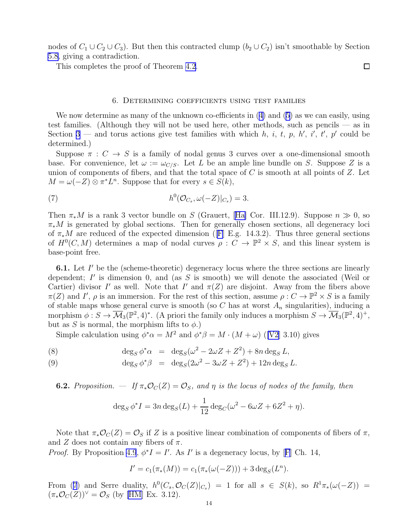<span id="page-13-0"></span>nodes of  $C_1 \cup C_2 \cup C_3$ . But then this contracted clump  $(b_2 \cup C_2)$  isn't smoothable by Section [5.8](#page-11-0), giving a contradiction.

This completes the proof of Theorem [4.2](#page-5-0).

# 6. Determining coefficients using test families

Wenow determine as many of the unknown co-efficients in  $(4)$  $(4)$  and  $(5)$  as we can easily, using test families. (Although they will not be used here, other methods, such as pencils — as in Section [3](#page-2-0) – and torus actions give test families with which h, i, t, p, h', i', t', p' could be determined.)

Suppose  $\pi : C \to S$  is a family of nodal genus 3 curves over a one-dimensional smooth base. For convenience, let  $\omega := \omega_{C/S}$ . Let L be an ample line bundle on S. Suppose Z is a union of components of fibers, and that the total space of  $C$  is smooth at all points of  $Z$ . Let  $M = \omega(-Z) \otimes \pi^* L^n$ . Suppose that for every  $s \in S(k)$ ,

(7) 
$$
h^0(\mathcal{O}_{C_s}, \omega(-Z)|_{C_s}) = 3.
$$

Then  $\pi_* M$  is a rank 3 vector bundle on S (Grauert, [\[Ha\]](#page-25-0) Cor. III.12.9). Suppose  $n \gg 0$ , so  $\pi_*M$  is generated by global sections. Then for generally chosen sections, all degeneracy loci of  $\pi_*M$  are reduced of the expected dimension ([[F](#page-25-0)] E.g. 14.3.2). Thus three general sections of  $H^0(C,M)$  determines a map of nodal curves  $\rho: C \to \mathbb{P}^2 \times S$ , and this linear system is base-point free.

**6.1.** Let  $I'$  be the (scheme-theoretic) degeneracy locus where the three sections are linearly dependent;  $I'$  is dimension 0, and (as  $S$  is smooth) we will denote the associated (Weil or Cartier) divisor I' as well. Note that I' and  $\pi(Z)$  are disjoint. Away from the fibers above  $\pi(Z)$  and I',  $\rho$  is an immersion. For the rest of this section, assume  $\rho: C \to \mathbb{P}^2 \times S$  is a family of stable maps whose general curve is smooth (so C has at worst  $A_n$  singularities), inducing a morphism  $\phi: S \to \overline{\mathcal{M}}_3(\mathbb{P}^2, 4)^*$ . (A priori the family only induces a morphism  $S \to \overline{\mathcal{M}}_3(\mathbb{P}^2, 4)^+$ , but as S is normal, the morphism lifts to  $\phi$ .)

Simple calculation using  $\phi^* \alpha = M^2$  and  $\phi^* \beta = M \cdot (M + \omega)$  ([\[V2](#page-26-0)] 3.10) gives

(8) 
$$
\deg_S \phi^* \alpha = \deg_S (\omega^2 - 2\omega Z + Z^2) + 8n \deg_S L,
$$

(9) 
$$
\deg_S \phi^* \beta = \deg_S (2\omega^2 - 3\omega Z + Z^2) + 12n \deg_S L.
$$

**6.2.** *Proposition.* — If  $\pi_*\mathcal{O}_C(Z) = \mathcal{O}_S$ , and  $\eta$  is the locus of nodes of the family, then

$$
\deg_S \phi^* I = 3n \deg_S(L) + \frac{1}{12} \deg_C(\omega^2 - 6\omega Z + 6Z^2 + \eta).
$$

Note that  $\pi_*\mathcal{O}_C(Z) = \mathcal{O}_S$  if Z is a positive linear combination of components of fibers of  $\pi$ , and Z does not contain any fibers of  $\pi$ .

*Proof.* By Proposition [4.9](#page-8-0), $\phi^* I = I'$ . As I' is a degeneracy locus, by [[F](#page-25-0)] Ch. 14,

$$
I' = c_1(\pi_*(M)) = c_1(\pi_*(\omega(-Z))) + 3 \deg_S(L^n).
$$

From (7) and Serre duality,  $h^0(C_s, \mathcal{O}_C(Z)|_{C_s}) = 1$  for all  $s \in S(k)$ , so  $R^1\pi_*(\omega(-Z)) =$  $(\pi_*\mathcal{O}_C(Z))^\vee = \mathcal{O}_S$  (by [\[HM](#page-25-0)] Ex. 3.12).

 $\Box$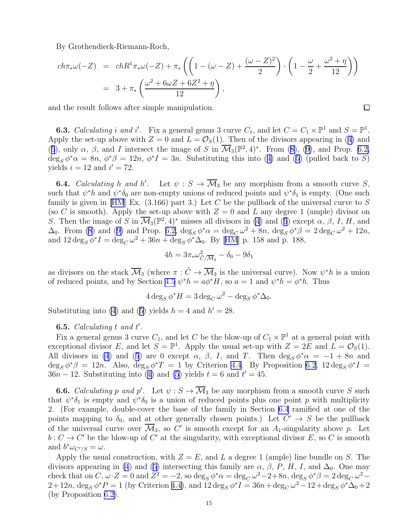<span id="page-14-0"></span>By Grothendieck-Riemann-Roch,

$$
ch\pi_{*}\omega(-Z) = chR^{1}\pi_{*}\omega(-Z) + \pi_{*}\left(\left(1 - (\omega - Z) + \frac{(\omega - Z)^{2}}{2}\right) \cdot \left(1 - \frac{\omega}{2} + \frac{\omega^{2} + \eta}{12}\right)\right)
$$
  
=  $3 + \pi_{*}\left(\frac{\omega^{2} + 6\omega Z + 6Z^{2} + \eta}{12}\right),$ 

and the result follows after simple manipulation.

**6.3.** *Calculating i* and *i'*. Fix a general genus 3 curve  $C_1$ , and let  $C = C_1 \times \mathbb{P}^1$  and  $S = \mathbb{P}^1$ . Applythe set-up above with  $Z = 0$  and  $L = \mathcal{O}_S(1)$ . Then of the divisors appearing in ([4\)](#page-6-0) and ([5](#page-6-0)),only  $\alpha$ ,  $\beta$ , and I intersect the image of S in  $\overline{\mathcal{M}}_3(\mathbb{P}^2,4)^*$ . From ([8\)](#page-13-0), ([9\)](#page-13-0), and Prop. [6.2,](#page-13-0)  $\deg_S \phi^* \alpha = 8n$  $\deg_S \phi^* \alpha = 8n$  $\deg_S \phi^* \alpha = 8n$ ,  $\phi^* \beta = 12n$ ,  $\phi^* I = 3n$ . Substituting this into ([4\)](#page-6-0) and ([5\)](#page-6-0) (pulled back to S) yields  $i = 12$  and  $i' = 72$ .

**6.4.** *Calculating* h and h'. Let  $\psi : S \to \overline{\mathcal{M}}_3$  be any morphism from a smooth curve S, such that  $\psi^* h$  and  $\psi^* \delta_0$  are non-empty unions of reduced points and  $\psi^* \delta_1$  is empty. (One such family is given in [\[HM](#page-25-0)] Ex.  $(3.166)$  part 3.) Let C be the pullback of the universal curve to S (so C is smooth). Apply the set-up above with  $Z = 0$  and L any degree 1 (ample) divisor on S.Then the image of S in  $\overline{\mathcal{M}}_3(\mathbb{P}^2, 4)^*$  misses all divisors in [\(4](#page-6-0)) and ([5](#page-6-0)) except  $\alpha$ ,  $\beta$ , I, H, and  $\Delta_0$ . From [\(8\)](#page-13-0)and ([9\)](#page-13-0) and Prop. [6.2,](#page-13-0)  $\deg_S \phi^* \alpha = \deg_C \omega^2 + 8n$ ,  $\deg_S \phi^* \beta = 2 \deg_C \omega^2 + 12n$ , and $12 \deg_S \phi^* I = \deg_C \omega^2 + 36n + \deg_S \phi^* \Delta_0$ . By [[HM](#page-25-0)] p. 158 and p. 188,

$$
4h = 3\pi_{*}\omega_{\tilde{C}/\overline{\mathcal{M}}_3}^2 - \delta_0 - 9\delta_1
$$

as divisors on the stack  $\overline{\mathcal{M}}_3$  (where  $\pi : \tilde{C} \to \overline{\mathcal{M}}_3$  is the universal curve). Now  $\psi^* h$  is a union of reduced points, and by Section [4.5](#page-7-0)  $\psi^* h = a\phi^* H$ , so  $a = 1$  and  $\psi^* h = \phi^* h$ . Thus

$$
4 \deg_S \phi^* H = 3 \deg_C \omega^2 - \deg_S \phi^* \Delta_0.
$$

Substituting into [\(4](#page-6-0))and ([5\)](#page-6-0) yields  $h = 4$  and  $h' = 28$ .

# **6.5.** *Calculating*  $t$  *and*  $t'$ *.*

Fix a general genus 3 curve  $C_1$ , and let C be the blow-up of  $C_1 \times \mathbb{P}^1$  at a general point with exceptional divisor E, and let  $S = \mathbb{P}^1$ . Apply the usual set-up with  $Z = 2E$  and  $\overline{L} = \mathcal{O}_S(1)$ . All divisors in [\(4](#page-6-0))and ([5](#page-6-0)) are 0 except  $\alpha$ ,  $\beta$ , I, and T. Then  $\deg_S \phi^* \alpha = -1 + 8n$  and  $\deg_S \phi^* \beta = 12n$ . Also,  $\deg_S \phi^* T = 1$  by Criterion [4.4](#page-6-0). By Proposition [6.2](#page-13-0),  $12 \deg_S \phi^* T =$  $36n - 12$  $36n - 12$  $36n - 12$ . Substituting into ([4\)](#page-6-0) and [\(5](#page-6-0)) yields  $t = 6$  and  $t' = 45$ .

**6.6.** *Calculating* p and p'. Let  $\psi : S \to \overline{\mathcal{M}}_3$  be any morphism from a smooth curve S such that  $\psi^*\delta_1$  is empty and  $\psi^*\delta_0$  is a union of reduced points plus one point p with multiplicity 2. (For example, double-cover the base of the family in Section 6.4 ramified at one of the points mapping to  $\delta_0$ , and at other generally chosen points.) Let  $C' \to S$  be the pullback of the universal curve over  $\overline{\mathcal{M}}_3$ , so C' is smooth except for an  $A_1$ -singularity above p. Let  $b: C \to C'$  be the blow-up of C' at the singularity, with exceptional divisor E, so C is smooth and  $b^* \omega_{C'/S} = \omega$ .

Apply the usual construction, with  $Z = E$ , and L a degree 1 (ample) line bundle on S. The divisors appearing in [\(4](#page-6-0)) and [\(5](#page-6-0)) intersecting this family are  $\alpha$ ,  $\beta$ ,  $P$ ,  $H$ ,  $I$ , and  $\Delta_0$ . One may check that on C,  $\omega \cdot Z = 0$  and  $Z^2 = -2$ , so  $\deg_S \phi^* \alpha = \deg_C \omega^2 - 2 + 8n$ ,  $\deg_S \phi^* \beta = 2 \deg_C \omega^2 2+12n$ ,  $\deg_S \phi^*P = 1$  (by Criterion [4.4\)](#page-6-0), and  $12 \deg_S \phi^*I = 36n + \deg_C \omega^2 - 12 + \deg_S \phi^* \Delta_0 + 2$ (by Proposition [6.2\)](#page-13-0).

 $\Box$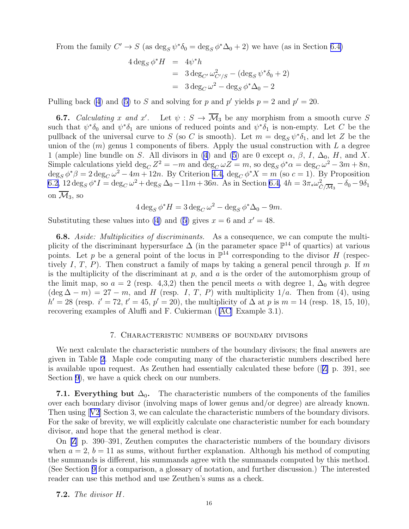<span id="page-15-0"></span>From the family  $C' \to S$  (as  $\deg_S \psi^* \delta_0 = \deg_S \phi^* \Delta_0 + 2$ ) we have (as in Section [6.4\)](#page-14-0)

$$
4 \deg_S \phi^* H = 4\psi^* h
$$
  
= 3 deg<sub>C'</sub>  $\omega_{C'/S}^2 - (\deg_S \psi^* \delta_0 + 2)$   
= 3 deg<sub>C'</sub>  $\omega^2 - \deg_S \phi^* \Delta_0 - 2$ 

Pulling back [\(4](#page-6-0))and ([5\)](#page-6-0) to S and solving for p and p' yields  $p = 2$  and  $p' = 20$ .

**6.7.** *Calculating* x and x'. Let  $\psi : S \to \overline{\mathcal{M}}_3$  be any morphism from a smooth curve S such that  $\psi^*\delta_0$  and  $\psi^*\delta_1$  are unions of reduced points and  $\psi^*\delta_1$  is non-empty. Let C be the pullback of the universal curve to S (so C is smooth). Let  $m = \deg_S \psi^* \delta_1$ , and let Z be the union of the  $(m)$  genus 1 components of fibers. Apply the usual construction with L a degree 1 (ample) line bundle on S. All divisors in [\(4](#page-6-0)) and [\(5](#page-6-0)) are 0 except  $\alpha$ ,  $\beta$ ,  $I$ ,  $\Delta_0$ ,  $H$ , and X. Simple calculations yield  $\deg_C Z^2 = -m$  and  $\deg_C \omega Z = m$ , so  $\deg_S \phi^* \alpha = \deg_C \omega^2 - 3m + 8n$ ,  $\deg_S \phi^* \beta = 2 \deg_C \omega^2 - 4m + 12n$ . By Criterion [4.4,](#page-6-0)  $\deg_C \phi^* X = m$  (so  $c = 1$ ). By Proposition [6.2](#page-13-0),  $12 \deg_S \phi^* I = \deg_C \omega^2 + \deg_S \Delta_0 - 11m + 36n$ . As in Section [6.4,](#page-14-0)  $4h = 3\pi_* \omega_{\tilde{C}/\overline{M}_3}^2 - \delta_0 - 9\delta_1$ on  $\overline{\mathcal{M}}_3$ , so

 $4 \deg_S \phi^* H = 3 \deg_C \omega^2 - \deg_S \phi^* \Delta_0 - 9m.$ 

Substituting these values into [\(4](#page-6-0))and ([5\)](#page-6-0) gives  $x = 6$  and  $x' = 48$ .

6.8. *Aside: Multiplicities of discriminants.* As a consequence, we can compute the multiplicity of the discriminant hypersurface  $\Delta$  (in the parameter space  $\mathbb{P}^{14}$  of quartics) at various points. Let p be a general point of the locus in  $\mathbb{P}^{14}$  corresponding to the divisor H (respectively I, T, P). Then construct a family of maps by taking a general pencil through p. If m is the multiplicity of the discriminant at  $p$ , and  $a$  is the order of the automorphism group of the limit map, so  $a = 2$  (resp. 4,3,2) then the pencil meets  $\alpha$  with degree 1,  $\Delta_0$  with degree  $(\deg \Delta - m) = 27 - m$ , and H (resp. I, T, P) with multiplicity 1/a. Then from (4), using  $h' = 28$  (resp.  $i' = 72$ ,  $t' = 45$ ,  $p' = 20$ ), the multiplicity of  $\Delta$  at p is  $m = 14$  (resp. 18, 15, 10), recovering examples of Aluffi and F. Cukierman ([\[AC\]](#page-25-0) Example 3.1).

### 7. Characteristic numbers of boundary divisors

We next calculate the characteristic numbers of the boundary divisors; the final answers are given in Table [2.](#page-16-0) Maple code computing many of the characteristic numbers described here is available upon request. As Zeuthen had essentially calculated these before ( $\mathbb{Z}$ ) p. 391, see Section [9\)](#page-23-0), we have a quick check on our numbers.

**7.1. Everything but**  $\Delta_0$ . The characteristic numbers of the components of the families over each boundary divisor (involving maps of lower genus and/or degree) are already known. Then using[[V2](#page-26-0)] Section 3, we can calculate the characteristic numbers of the boundary divisors. For the sake of brevity, we will explicitly calculate one characteristic number for each boundary divisor, and hope that the general method is clear.

On [\[Z](#page-26-0)] p. 390–391, Zeuthen computes the characteristic numbers of the boundary divisors when  $a = 2$ ,  $b = 11$  as sums, without further explanation. Although his method of computing the summands is different, his summands agree with the summands computed by this method. (See Section [9](#page-23-0) for a comparison, a glossary of notation, and further discussion.) The interested reader can use this method and use Zeuthen's sums as a check.

7.2. *The divisor* H*.*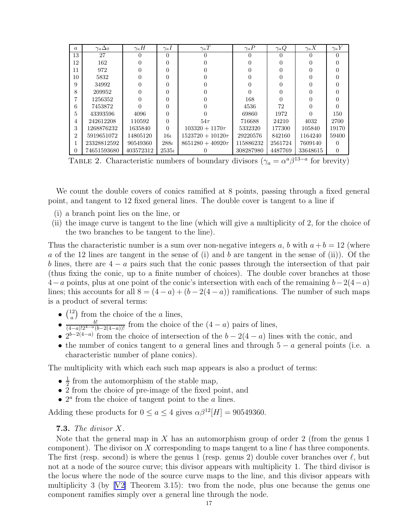<span id="page-16-0"></span>

| $\boldsymbol{a}$ | $\gamma_a \Delta_0$ | $\gamma_a H$ | $\gamma_a I$ | $\gamma_a T$          | $\gamma_a P$ | $\gamma_a Q$ | $\gamma_a X$ | $\gamma_a Y$ |
|------------------|---------------------|--------------|--------------|-----------------------|--------------|--------------|--------------|--------------|
| 13               | 27                  |              | $\Omega$     | 0                     |              |              |              |              |
| 12               | 162                 |              | 0            |                       |              |              |              |              |
| 11               | 972                 |              | 0            |                       |              |              |              |              |
| 10               | 5832                |              | 0            |                       |              |              |              |              |
| 9                | 34992               |              | 0            |                       |              |              |              |              |
| 8                | 209952              |              | 0            |                       |              |              |              |              |
|                  | 1256352             |              | 0            |                       | 168          |              |              |              |
| 6                | 7453872             |              | 0            |                       | 4536         | 72           |              |              |
| 5.               | 43393596            | 4096         | 0            |                       | 69860        | 1972         |              | 150          |
| 4                | 242612208           | 110592       | $\theta$     | $54\tau$              | 716688       | 24210        | 4032         | 2700         |
| 3                | 1268876232          | 1635840      | $\Omega$     | $103320 + 1170\tau$   | 5332320      | 177300       | 105840       | 19170        |
| $\overline{2}$   | 5919651072          | 14805120     | $16\iota$    | $1523720 + 10120\tau$ | 29220576     | 842160       | 1164240      | 59400        |
| 1                | 23328812592         | 90549360     | $288\iota$   | $8651280 + 40920\tau$ | 115886232    | 2561724      | 7609140      |              |
| 0                | 74651593680         | 403572312    | $2535\iota$  |                       | 308287980    | 4487769      | 33648615     | 0            |

TABLE 2. Characteristic numbers of boundary divisors ( $\gamma_a = \alpha^a \beta^{13-a}$  for brevity)

We count the double covers of conics ramified at 8 points, passing through a fixed general point, and tangent to 12 fixed general lines. The double cover is tangent to a line if

- (i) a branch point lies on the line, or
- (ii) the image curve is tangent to the line (which will give a multiplicity of 2, for the choice of the two branches to be tangent to the line).

Thus the characteristic number is a sum over non-negative integers a, b with  $a + b = 12$  (where a of the 12 lines are tangent in the sense of (i) and b are tangent in the sense of (ii)). Of the b lines, there are  $4 - a$  pairs such that the conic passes through the intersection of that pair (thus fixing the conic, up to a finite number of choices). The double cover branches at those  $4-a$  points, plus at one point of the conic's intersection with each of the remaining  $b-2(4-a)$ lines; this accounts for all  $8 = (4 - a) + (b - 2(4 - a))$  ramifications. The number of such maps is a product of several terms:

- $\bullet$   $\binom{12}{a}$  $\binom{12}{a}$  from the choice of the *a* lines,
- $\frac{b!}{(4-a)!2^{4-a}(b-2(4-a))!}$  from the choice of the  $(4-a)$  pairs of lines,
- $2^{b-2(4-a)}$  from the choice of intersection of the  $b-2(4-a)$  lines with the conic, and
- the number of conics tangent to a general lines and through  $5 a$  general points (i.e. a characteristic number of plane conics).

The multiplicity with which each such map appears is also a product of terms:

- $\bullet$   $\frac{1}{2}$  $\frac{1}{2}$  from the automorphism of the stable map,
- 2 from the choice of pre-image of the fixed point, and
- $2<sup>a</sup>$  from the choice of tangent point to the  $a$  lines.

Adding these products for  $0 \le a \le 4$  gives  $\alpha \beta^{12}[H] = 90549360$ .

# 7.3. *The divisor* X*.*

Note that the general map in X has an automorphism group of order 2 (from the genus 1) component). The divisor on X corresponding to maps tangent to a line  $\ell$  has three components. The first (resp. second) is where the genus 1 (resp. genus 2) double cover branches over  $\ell$ , but not at a node of the source curve; this divisor appears with multiplicity 1. The third divisor is the locus where the node of the source curve maps to the line, and this divisor appears with multiplicity 3 (by  $[V2]$  Theorem 3.15): two from the node, plus one because the genus one component ramifies simply over a general line through the node.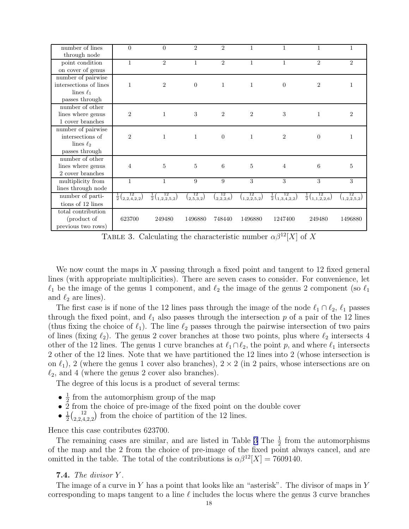<span id="page-17-0"></span>

| number of lines        | $\theta$                            | $\Omega$                              | $\overline{2}$        | $\mathfrak{D}$        | 1                       | 1                                     | 1                                     | 1              |
|------------------------|-------------------------------------|---------------------------------------|-----------------------|-----------------------|-------------------------|---------------------------------------|---------------------------------------|----------------|
| through node           |                                     |                                       |                       |                       |                         |                                       |                                       |                |
| point condition        | $\mathbf{1}$                        | $\overline{2}$                        | 1                     | $\overline{2}$        | $\mathbf{1}$            | 1                                     | $\overline{2}$                        | $\overline{2}$ |
| on cover of genus      |                                     |                                       |                       |                       |                         |                                       |                                       |                |
| number of pairwise     |                                     |                                       |                       |                       |                         |                                       |                                       |                |
| intersections of lines | 1                                   | $\overline{2}$                        | $\overline{0}$        | $\mathbf{1}$          | $\mathbf{1}$            | $\overline{0}$                        | $\overline{2}$                        | 1              |
| lines $\ell_1$         |                                     |                                       |                       |                       |                         |                                       |                                       |                |
| passes through         |                                     |                                       |                       |                       |                         |                                       |                                       |                |
| number of other        |                                     |                                       |                       |                       |                         |                                       |                                       |                |
| lines where genus      | $\overline{2}$                      | $\mathbf{1}$                          | $\sqrt{3}$            | $\overline{2}$        | $\overline{2}$          | 3                                     | $\mathbf{1}$                          | $\overline{2}$ |
| 1 cover branches       |                                     |                                       |                       |                       |                         |                                       |                                       |                |
| number of pairwise     |                                     |                                       |                       |                       |                         |                                       |                                       |                |
| intersections of       | $\overline{2}$                      | $\mathbf{1}$                          | $\mathbf{1}$          | $\overline{0}$        | $\mathbf{1}$            | $\overline{2}$                        | $\overline{0}$                        | 1              |
| lines $\ell_2$         |                                     |                                       |                       |                       |                         |                                       |                                       |                |
| passes through         |                                     |                                       |                       |                       |                         |                                       |                                       |                |
| number of other        |                                     |                                       |                       |                       |                         |                                       |                                       |                |
| lines where genus      | 4                                   | $\overline{5}$                        | 5                     | 6                     | $\overline{5}$          | $\overline{4}$                        | 6                                     | $\overline{5}$ |
| 2 cover branches       |                                     |                                       |                       |                       |                         |                                       |                                       |                |
| multiplicity from      | $\mathbf{1}$                        | $\mathbf{1}$                          | 9                     | 9                     | 3                       | 3                                     | 3                                     | 3              |
| lines through node     |                                     |                                       |                       |                       |                         |                                       |                                       |                |
| number of parti-       | $\frac{1}{2} \binom{12}{2,2,4,2,2}$ | $\frac{1}{2}$ $\binom{12}{1,2,2,5,2}$ | $\binom{12}{2,5,3,2}$ | $\binom{12}{2,2,2,6}$ | $\binom{12}{1,2,2,5,2}$ | $\frac{1}{2}$ $\binom{12}{1,3,4,2,2}$ | $\frac{1}{2}$ $\binom{12}{1,1,2,2,6}$ | (1,2,2,5,2)    |
| tions of 12 lines      |                                     |                                       |                       |                       |                         |                                       |                                       |                |
| total contribution     |                                     |                                       |                       |                       |                         |                                       |                                       |                |
| (product of            | 623700                              | 249480                                | 1496880               | 748440                | 1496880                 | 1247400                               | 249480                                | 1496880        |
| previous two rows)     |                                     |                                       |                       |                       |                         |                                       |                                       |                |

TABLE 3. Calculating the characteristic number  $\alpha \beta^{12}[X]$  of X

We now count the maps in X passing through a fixed point and tangent to 12 fixed general lines (with appropriate multiplicities). There are seven cases to consider. For convenience, let  $\ell_1$  be the image of the genus 1 component, and  $\ell_2$  the image of the genus 2 component (so  $\ell_1$ ) and  $\ell_2$  are lines).

The first case is if none of the 12 lines pass through the image of the node  $\ell_1 \cap \ell_2$ ,  $\ell_1$  passes through the fixed point, and  $\ell_1$  also passes through the intersection p of a pair of the 12 lines (thus fixing the choice of  $\ell_1$ ). The line  $\ell_2$  passes through the pairwise intersection of two pairs of lines (fixing  $\ell_2$ ). The genus 2 cover branches at those two points, plus where  $\ell_2$  intersects 4 other of the 12 lines. The genus 1 curve branches at  $\ell_1 \cap \ell_2$ , the point p, and where  $\ell_1$  intersects 2 other of the 12 lines. Note that we have partitioned the 12 lines into 2 (whose intersection is on  $\ell_1$ ), 2 (where the genus 1 cover also branches),  $2 \times 2$  (in 2 pairs, whose intersections are on  $\ell_2$ , and 4 (where the genus 2 cover also branches).

The degree of this locus is a product of several terms:

- $\bullet$   $\frac{1}{2}$  $\frac{1}{2}$  from the automorphism group of the map
- $\bullet$  2 from the choice of pre-image of the fixed point on the double cover
- $\bullet$   $\frac{1}{2}$  $rac{1}{2} \binom{12}{2,2,4}$  $\binom{12}{2,2,4,2,2}$  from the choice of partition of the 12 lines.

Hence this case contributes 623700.

The remaining cases are similar, and are listed in Table 3 The  $\frac{1}{2}$  from the automorphisms of the map and the 2 from the choice of pre-image of the fixed point always cancel, and are omitted in the table. The total of the contributions is  $\alpha \beta^{12}[X] = 7609140$ .

# 7.4. *The divisor* Y *.*

The image of a curve in Y has a point that looks like an "asterisk". The divisor of maps in Y corresponding to maps tangent to a line  $\ell$  includes the locus where the genus 3 curve branches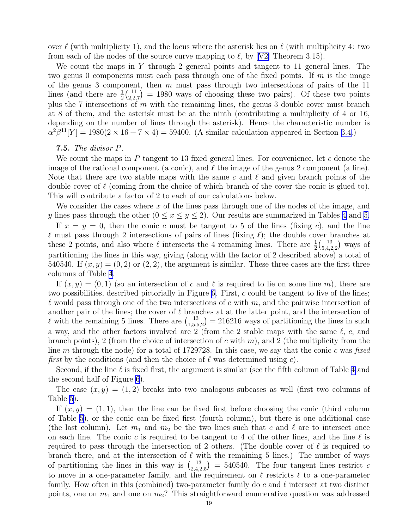over  $\ell$  (with multiplicity 1), and the locus where the asterisk lies on  $\ell$  (with multiplicity 4: two fromeach of the nodes of the source curve mapping to  $\ell$ , by [[V2\]](#page-26-0) Theorem 3.15).

We count the maps in Y through 2 general points and tangent to 11 general lines. The two genus 0 components must each pass through one of the fixed points. If  $m$  is the image of the genus 3 component, then  $m$  must pass through two intersections of pairs of the 11 lines (and there are  $\frac{1}{2} \binom{11}{2,2}$  $\binom{11}{2,2,7}$  = 1980 ways of choosing these two pairs). Of these two points plus the 7 intersections of m with the remaining lines, the genus 3 double cover must branch at 8 of them, and the asterisk must be at the ninth (contributing a multiplicity of 4 or 16, depending on the number of lines through the asterisk). Hence the characteristic number is  $\alpha^2\beta^{11}[Y] = 1980(2 \times 16 + 7 \times 4) = 59400.$  (A similar calculation appeared in Section [3.4.](#page-4-0))

## 7.5. *The divisor* P*.*

We count the maps in  $P$  tangent to 13 fixed general lines. For convenience, let  $c$  denote the image of the rational component (a conic), and  $\ell$  the image of the genus 2 component (a line). Note that there are two stable maps with the same c and  $\ell$  and given branch points of the double cover of  $\ell$  (coming from the choice of which branch of the cover the conic is glued to). This will contribute a factor of 2 to each of our calculations below.

We consider the cases where  $x$  of the lines pass through one of the nodes of the image, and y lines pass through the other  $(0 \le x \le y \le 2)$ . Our results are summarized in Tables [4](#page-20-0) and [5.](#page-20-0)

If  $x = y = 0$ , then the conic c must be tangent to 5 of the lines (fixing c), and the line  $\ell$  must pass through 2 intersections of pairs of lines (fixing  $\ell$ ); the double cover branches at these 2 points, and also where  $\ell$  intersects the 4 remaining lines. There are  $\frac{1}{2} \binom{13}{5,4,2}$  $^{13}_{5,4,2,2}$  ways of partitioning the lines in this way, giving (along with the factor of 2 described above) a total of 540540. If  $(x, y) = (0, 2)$  or  $(2, 2)$ , the argument is similar. These three cases are the first three columns of Table [4.](#page-20-0)

If  $(x, y) = (0, 1)$  (so an intersection of c and  $\ell$  is required to lie on some line m), there are two possibilities, described pictorially in Figure [6](#page-19-0). First, c could be tangent to five of the lines;  $\ell$  would pass through one of the two intersections of c with m, and the pairwise intersection of another pair of the lines; the cover of  $\ell$  branches at at the latter point, and the intersection of l with the remaining 5 lines. There are  $\binom{13}{1.5}$  $1,5,5,2$  = 216216 ways of partitioning the lines in such a way, and the other factors involved are 2 (from the 2 stable maps with the same  $\ell$ , c, and branch points), 2 (from the choice of intersection of c with m), and 2 (the multiplicity from the line m through the node) for a total of 1729728. In this case, we say that the conic c was *fixed first* by the conditions (and then the choice of  $\ell$  was determined using c).

Second, if the line  $\ell$  is fixed first, the argument is similar (see the fifth column of Table [4](#page-20-0) and the second half of Figure [6](#page-19-0)).

The case  $(x, y) = (1, 2)$  breaks into two analogous subcases as well (first two columns of Table [5](#page-20-0)).

If  $(x, y) = (1, 1)$ , then the line can be fixed first before choosing the conic (third column of Table [5](#page-20-0)), or the conic can be fixed first (fourth column), but there is one additional case (the last column). Let  $m_1$  and  $m_2$  be the two lines such that c and  $\ell$  are to intersect once on each line. The conic c is required to be tangent to 4 of the other lines, and the line  $\ell$  is required to pass through the intersection of 2 others. (The double cover of  $\ell$  is required to branch there, and at the intersection of  $\ell$  with the remaining 5 lines.) The number of ways of partitioning the lines in this way is  $\binom{13}{245}$  $\mathcal{L}_{2,4,2,5}^{13}$  = 540540. The four tangent lines restrict c to move in a one-parameter family, and the requirement on  $\ell$  restricts  $\ell$  to a one-parameter family. How often in this (combined) two-parameter family do c and  $\ell$  intersect at two distinct points, one on  $m_1$  and one on  $m_2$ ? This straightforward enumerative question was addressed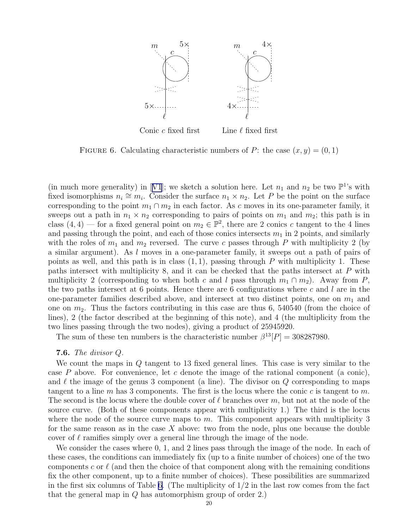<span id="page-19-0"></span>

FIGURE 6. Calculating characteristic numbers of P: the case  $(x, y) = (0, 1)$ 

(inmuch more generality) in [[V1](#page-26-0)]; we sketch a solution here. Let  $n_1$  and  $n_2$  be two  $\mathbb{P}^1$ 's with fixed isomorphisms  $n_i \cong m_i$ . Consider the surface  $n_1 \times n_2$ . Let P be the point on the surface corresponding to the point  $m_1 \cap m_2$  in each factor. As c moves in its one-parameter family, it sweeps out a path in  $n_1 \times n_2$  corresponding to pairs of points on  $m_1$  and  $m_2$ ; this path is in class  $(4, 4)$  — for a fixed general point on  $m_2 \in \mathbb{P}^2$ , there are 2 conics c tangent to the 4 lines and passing through the point, and each of those conics intersects  $m_1$  in 2 points, and similarly with the roles of  $m_1$  and  $m_2$  reversed. The curve c passes through P with multiplicity 2 (by a similar argument). As l moves in a one-parameter family, it sweeps out a path of pairs of points as well, and this path is in class  $(1, 1)$ , passing through P with multiplicity 1. These paths intersect with multiplicity 8, and it can be checked that the paths intersect at P with multiplicity 2 (corresponding to when both c and l pass through  $m_1 \cap m_2$ ). Away from P, the two paths intersect at 6 points. Hence there are 6 configurations where  $c$  and  $l$  are in the one-parameter families described above, and intersect at two distinct points, one on  $m_1$  and one on  $m_2$ . Thus the factors contributing in this case are thus 6, 540540 (from the choice of lines), 2 (the factor described at the beginning of this note), and 4 (the multiplicity from the two lines passing through the two nodes), giving a product of 25945920.

The sum of these ten numbers is the characteristic number  $\beta^{13}[P] = 308287980$ .

## 7.6. *The divisor* Q*.*

We count the maps in  $Q$  tangent to 13 fixed general lines. This case is very similar to the case  $P$  above. For convenience, let c denote the image of the rational component (a conic), and  $\ell$  the image of the genus 3 component (a line). The divisor on  $Q$  corresponding to maps tangent to a line m has 3 components. The first is the locus where the conic c is tangent to m. The second is the locus where the double cover of  $\ell$  branches over m, but not at the node of the source curve. (Both of these components appear with multiplicity 1.) The third is the locus where the node of the source curve maps to m. This component appears with multiplicity  $3$ for the same reason as in the case  $X$  above: two from the node, plus one because the double cover of  $\ell$  ramifies simply over a general line through the image of the node.

We consider the cases where 0, 1, and 2 lines pass through the image of the node. In each of these cases, the conditions can immediately fix (up to a finite number of choices) one of the two components c or  $\ell$  (and then the choice of that component along with the remaining conditions fix the other component, up to a finite number of choices). These possibilities are summarized in the first six columns of Table [6.](#page-21-0) (The multiplicity of  $1/2$  in the last row comes from the fact that the general map in Q has automorphism group of order 2.)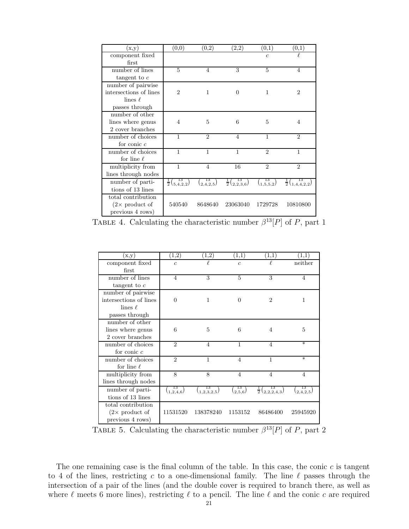<span id="page-20-0"></span>

| (x,y)                  | (0,0)                             | (0,2)                      | $\scriptstyle{(2,2)}$             | (0,1)                 | $\scriptstyle{(0,1)}$            |
|------------------------|-----------------------------------|----------------------------|-----------------------------------|-----------------------|----------------------------------|
| component fixed        |                                   |                            |                                   | $\epsilon$            | l                                |
| first                  |                                   |                            |                                   |                       |                                  |
| number of lines        | 5                                 | 4                          | 3                                 | 5                     | 4                                |
| tangent to $c$         |                                   |                            |                                   |                       |                                  |
| number of pairwise     |                                   |                            |                                   |                       |                                  |
| intersections of lines | $\overline{2}$                    | $\mathbf{1}$               | $\Omega$                          | 1                     | $\overline{2}$                   |
| lines $\ell$           |                                   |                            |                                   |                       |                                  |
| passes through         |                                   |                            |                                   |                       |                                  |
| number of other        |                                   |                            |                                   |                       |                                  |
| lines where genus      | 4                                 | 5                          | 6                                 | 5                     | 4                                |
| 2 cover branches       |                                   |                            |                                   |                       |                                  |
| number of choices      | 1                                 | $\mathfrak{D}$             | $\overline{4}$                    | $\mathbf{1}$          | $\mathfrak{D}$                   |
| for conic $c$          |                                   |                            |                                   |                       |                                  |
| number of choices      | $\mathbf{1}$                      | $\mathbf{1}$               | $\mathbf{1}$                      | $\overline{2}$        | 1                                |
| for line $\ell$        |                                   |                            |                                   |                       |                                  |
| multiplicity from      | 1                                 | $\overline{4}$             | 16                                | $\overline{2}$        | $\mathfrak{D}$                   |
| lines through nodes    |                                   |                            |                                   |                       |                                  |
| number of parti-       | $rac{1}{2}$ $\binom{13}{5,4,2,2}$ | 13<br>$\binom{2,4,2,5}{ }$ | $\frac{1}{2} \binom{13}{2,2,3,6}$ | $\binom{13}{1,5,5,2}$ | $rac{1}{2}\binom{13}{1,4,4,2,2}$ |
| tions of 13 lines      |                                   |                            |                                   |                       |                                  |
| total contribution     |                                   |                            |                                   |                       |                                  |
| $(2\times$ product of  | 540540                            | 8648640                    | 23063040                          | 1729728               | 10810800                         |
| previous 4 rows)       |                                   |                            |                                   |                       |                                  |

TABLE 4. Calculating the characteristic number  $\beta^{13}[P]$  of P, part 1

| (x,y)                  | (1,2)                      | $\scriptstyle{(1,2)}$        | $\scriptstyle{(1,1)}$    | $\scriptstyle{(1,1)}$                     | 1.1                        |
|------------------------|----------------------------|------------------------------|--------------------------|-------------------------------------------|----------------------------|
| component fixed        | $\overline{c}$             | ł.                           | $\overline{c}$           | ł.                                        | neither                    |
| first                  |                            |                              |                          |                                           |                            |
| number of lines        | $\overline{4}$             | 3                            | 5                        | 3                                         | 4                          |
| tangent to $c$         |                            |                              |                          |                                           |                            |
| number of pairwise     |                            |                              |                          |                                           |                            |
| intersections of lines | $\overline{0}$             | 1                            | $\Omega$                 | $\overline{2}$                            | 1                          |
| lines $\ell$           |                            |                              |                          |                                           |                            |
| passes through         |                            |                              |                          |                                           |                            |
| number of other        |                            |                              |                          |                                           |                            |
| lines where genus      | 6                          | 5                            | 6                        | 4                                         | 5                          |
| 2 cover branches       |                            |                              |                          |                                           |                            |
| number of choices      | $\mathfrak{D}$             | $\overline{4}$               | 1                        | $\overline{4}$                            | $\ast$                     |
| for conic $c$          |                            |                              |                          |                                           |                            |
| number of choices      | $\overline{2}$             | 1                            | $\overline{4}$           | 1                                         | $\ast$                     |
| for line $\ell$        |                            |                              |                          |                                           |                            |
| multiplicity from      | 8                          | 8                            | $\overline{4}$           | 4                                         | 4                          |
| lines through nodes    |                            |                              |                          |                                           |                            |
| number of parti-       | 13<br>$\binom{1,2,4,6}{ }$ | 13<br>$\binom{1,2,3,2,5}{ }$ | 13<br>$\binom{2.5,6}{ }$ | 13<br>$\frac{1}{2} \binom{15}{2,2,2,4,3}$ | 13<br>$\binom{2,4,2,5}{ }$ |
| tions of 13 lines      |                            |                              |                          |                                           |                            |
| total contribution     |                            |                              |                          |                                           |                            |
| $(2\times$ product of  | 11531520                   | 138378240                    | 1153152                  | 86486400                                  | 25945920                   |
| previous 4 rows)       |                            |                              |                          |                                           |                            |

TABLE 5. Calculating the characteristic number  $\beta^{13}[P]$  of P, part 2

The one remaining case is the final column of the table. In this case, the conic  $c$  is tangent to 4 of the lines, restricting c to a one-dimensional family. The line  $\ell$  passes through the intersection of a pair of the lines (and the double cover is required to branch there, as well as where  $\ell$  meets 6 more lines), restricting  $\ell$  to a pencil. The line  $\ell$  and the conic c are required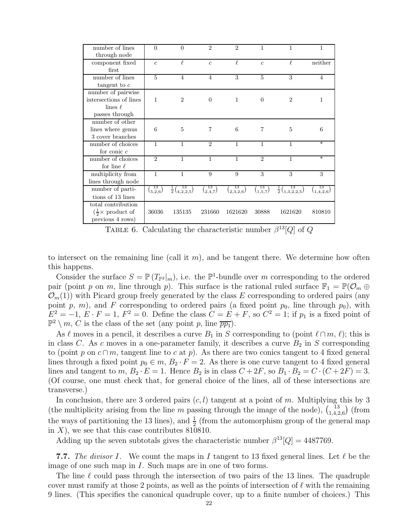<span id="page-21-0"></span>

| number of lines                                     | $\overline{0}$             | $\Omega$                                | $\overline{2}$ | $\overline{2}$        | 1                        | 1                                   | 1               |
|-----------------------------------------------------|----------------------------|-----------------------------------------|----------------|-----------------------|--------------------------|-------------------------------------|-----------------|
| through node                                        |                            |                                         |                |                       |                          |                                     |                 |
| component fixed                                     | $\overline{c}$             | $\ell$                                  | $\overline{c}$ | $\ell$                | $\overline{c}$           | $\ell$                              | neither         |
| first                                               |                            |                                         |                |                       |                          |                                     |                 |
| number of lines                                     | $\overline{5}$             | $\overline{4}$                          | $\overline{4}$ | 3                     | 5                        | 3                                   | 4               |
| tangent to $c$                                      |                            |                                         |                |                       |                          |                                     |                 |
| number of pairwise                                  |                            |                                         |                |                       |                          |                                     |                 |
| intersections of lines                              | 1                          | $\overline{2}$                          | $\overline{0}$ | $\mathbf{1}$          | $\overline{0}$           | $\overline{2}$                      | 1               |
| lines $\ell$                                        |                            |                                         |                |                       |                          |                                     |                 |
| passes through                                      |                            |                                         |                |                       |                          |                                     |                 |
| number of other                                     |                            |                                         |                |                       |                          |                                     |                 |
| lines where genus                                   | 6                          | 5                                       | $\overline{7}$ | 6                     | 7                        | 5                                   | 6               |
| 3 cover branches                                    |                            |                                         |                |                       |                          |                                     |                 |
| number of choices                                   | 1                          | 1                                       | $\overline{2}$ | $\mathbf{1}$          | 1                        | $\mathbf{1}$                        | $\ast$          |
| for conic $c$                                       |                            |                                         |                |                       |                          |                                     |                 |
| number of choices                                   | $\overline{2}$             | 1                                       | $\mathbf{1}$   | $\mathbf{1}$          | $\overline{2}$           | $\mathbf{1}$                        | $\ast$          |
| for line $\ell$                                     |                            |                                         |                |                       |                          |                                     |                 |
| multiplicity from                                   | $\mathbf{1}$               | $\mathbf{1}$                            | 9              | 9                     | 3                        | 3                                   | 3               |
| lines through node                                  |                            |                                         |                |                       |                          |                                     |                 |
| number of parti-                                    | 13<br>$\left(5,2,6\right)$ | 13<br>$\frac{1}{2} \binom{15}{4,2,2,5}$ | 13<br>(2,4,7)  | $\binom{13}{2,3,2,6}$ | 13<br>$\binom{1,5,7}{ }$ | $\frac{1}{2} \binom{13}{1,3,2,2,5}$ | 13<br>(1,4,2,6) |
| tions of 13 lines                                   |                            |                                         |                |                       |                          |                                     |                 |
| total contribution                                  |                            |                                         |                |                       |                          |                                     |                 |
| $\left(\frac{1}{2} \times \text{product of}\right)$ | 36036                      | 135135                                  | 231660         | 1621620               | 30888                    | 1621620                             | 810810          |
| previous 4 rows)                                    |                            |                                         |                |                       |                          |                                     |                 |

TABLE 6. Calculating the characteristic number  $\beta^{13}[Q]$  of Q

to intersect on the remaining line (call it  $m$ ), and be tangent there. We determine how often this happens.

Consider the surface  $S = \mathbb{P}(T_{\mathbb{P}^2}|_m)$ , i.e. the  $\mathbb{P}^1$ -bundle over m corresponding to the ordered pair (point p on m, line through p). This surface is the rational ruled surface  $\mathbb{F}_1 = \mathbb{P}(\mathcal{O}_m \oplus$  $\mathcal{O}_m(1)$ ) with Picard group freely generated by the class E corresponding to ordered pairs (any point p, m), and F corresponding to ordered pairs (a fixed point  $p_0$ , line through  $p_0$ ), with  $E^2 = -1, E \cdot F = 1, F^2 = 0.$  Define the class  $C = E + F$ , so  $C^2 = 1$ ; if  $p_1$  is a fixed point of  $\mathbb{P}^2 \setminus m$ , C is the class of the set (any point p, line  $\overline{pp_1}$ ).

As  $\ell$  moves in a pencil, it describes a curve  $B_1$  in S corresponding to (point  $\ell \cap m, \ell$ ); this is in class C. As c moves in a one-parameter family, it describes a curve  $B_2$  in S corresponding to (point p on  $c \cap m$ , tangent line to c at p). As there are two conics tangent to 4 fixed general lines through a fixed point  $p_0 \in m$ ,  $B_2 \cdot F = 2$ . As there is one curve tangent to 4 fixed general lines and tangent to m,  $B_2 \cdot E = 1$ . Hence  $B_2$  is in class  $C + 2F$ , so  $B_1 \cdot B_2 = C \cdot (C + 2F) = 3$ . (Of course, one must check that, for general choice of the lines, all of these intersections are transverse.)

In conclusion, there are 3 ordered pairs  $(c, l)$  tangent at a point of m. Multiplying this by 3 (the multiplicity arising from the line m passing through the image of the node),  $\begin{pmatrix} 13 \\ 142 \end{pmatrix}$  $^{13}_{1,4,2,6}$  (from the ways of partitioning the 13 lines), and  $\frac{1}{2}$  (from the automorphism group of the general map in  $X$ ), we see that this case contributes 810810.

Adding up the seven subtotals gives the characteristic number  $\beta^{13}[Q] = 4487769$ .

**7.7.** The divisor I. We count the maps in I tangent to 13 fixed general lines. Let  $\ell$  be the image of one such map in I. Such maps are in one of two forms.

The line  $\ell$  could pass through the intersection of two pairs of the 13 lines. The quadruple cover must ramify at those 2 points, as well as the points of intersection of  $\ell$  with the remaining 9 lines. (This specifies the canonical quadruple cover, up to a finite number of choices.) This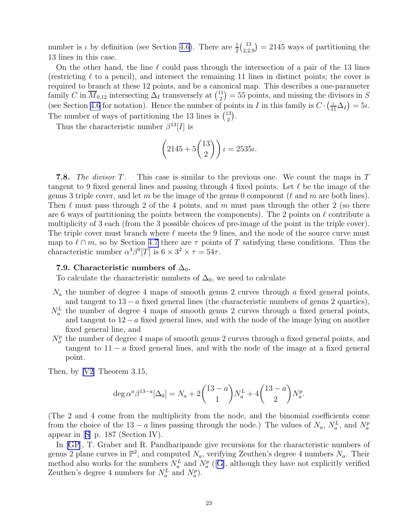<span id="page-22-0"></span>number is  $\iota$  by definition (see Section [4.6\)](#page-7-0). There are  $\frac{1}{2} \binom{13}{2,2,3}$  $\binom{13}{2,2,9} = 2145$  ways of partitioning the 13 lines in this case.

On the other hand, the line  $\ell$  could pass through the intersection of a pair of the 13 lines (restricting  $\ell$  to a pencil), and intersect the remaining 11 lines in distinct points; the cover is required to branch at these 12 points, and be a canonical map. This describes a one-parameter family C in  $\overline{M}_{0,12}$  intersecting  $\overline{\Delta}_I$  transversely at  $\binom{11}{2}$  $\binom{11}{2} = 55$  points, and missing the divisors in S (see Section [4.6](#page-7-0) for notation). Hence the number of points in I in this family is  $C \cdot \left(\frac{\iota}{11} \Delta_I\right) = 5\iota$ . The number of ways of partitioning the 13 lines is  $\binom{13}{2}$  $\binom{13}{2}$ .

Thus the characteristic number  $\beta^{13}[I]$  is

$$
\left(2145 + 5\binom{13}{2}\right)\iota = 2535\iota.
$$

7.8. *The divisor* T*.* This case is similar to the previous one. We count the maps in T tangent to 9 fixed general lines and passing through 4 fixed points. Let  $\ell$  be the image of the genus 3 triple cover, and let m be the image of the genus 0 component ( $\ell$  and m are both lines). Then  $\ell$  must pass through 2 of the 4 points, and m must pass through the other 2 (so there are 6 ways of partitioning the points between the components). The 2 points on  $\ell$  contribute a multiplicity of 3 each (from the 3 possible choices of pre-image of the point in the triple cover). The triple cover must branch where  $\ell$  meets the 9 lines, and the node of the source curve must map to  $\ell \cap m$ , so by Section [4.7](#page-7-0) there are  $\tau$  points of T satisfying these conditions. Thus the characteristic number  $\alpha^4 \beta^9 [T]$  is  $6 \times 3^2 \times \tau = 54\tau$ .

# 7.9. Characteristic numbers of  $\Delta_0$ .

To calculate the characteristic numbers of  $\Delta_0$ , we need to calculate

- $N_a$  the number of degree 4 maps of smooth genus 2 curves through a fixed general points, and tangent to  $13 - a$  fixed general lines (the characteristic numbers of genus 2 quartics),
- $N_a^L$  the number of degree 4 maps of smooth genus 2 curves through a fixed general points, and tangent to  $12-a$  fixed general lines, and with the node of the image lying on another fixed general line, and
- $N_a^p$  the number of degree 4 maps of smooth genus 2 curves through a fixed general points, and tangent to  $11 - a$  fixed general lines, and with the node of the image at a fixed general point.

Then, by [\[V2\]](#page-26-0) Theorem 3.15,

$$
\deg \alpha^a \beta^{13-a} [\Delta_0] = N_a + 2 \binom{13-a}{1} N_a^L + 4 \binom{13-a}{2} N_a^p.
$$

(The 2 and 4 come from the multiplicity from the node, and the binomial coefficients come from the choice of the 13 – a lines passing through the node.) The values of  $N_a$ ,  $N_a^L$ , and  $N_a^p$ appear in[[S](#page-26-0)] p. 187 (Section IV).

In [\[GP](#page-25-0)], T. Graber and R. Pandharipande give recursions for the characteristic numbers of genus 2 plane curves in  $\mathbb{P}^2$ , and computed  $N_a$ , verifying Zeuthen's degree 4 numbers  $N_a$ . Their method also works for the numbers  $N_a^L$  and  $N_a^p$  ([[G](#page-25-0)], although they have not explicitly verified Zeuthen's degree 4 numbers for  $N_a^L$  and  $N_a^p$ ).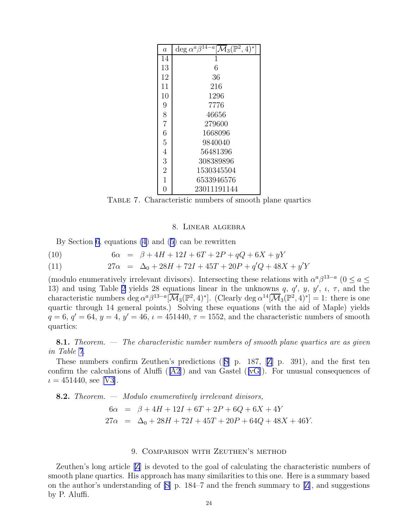<span id="page-23-0"></span>

| $\overline{a}$ | deg $\alpha^{a} \overline{\beta^{14-a}} \overline{\mathcal{M}}_3(\mathbb{P}^2, 4)^*$ |
|----------------|--------------------------------------------------------------------------------------|
| 14             |                                                                                      |
| 13             | 6                                                                                    |
| 12             | 36                                                                                   |
| 11             | 216                                                                                  |
| 10             | 1296                                                                                 |
| 9              | 7776                                                                                 |
| 8              | 46656                                                                                |
| $\overline{7}$ | 279600                                                                               |
| 6              | 1668096                                                                              |
| 5              | 9840040                                                                              |
| 4              | 56481396                                                                             |
| 3              | 308389896                                                                            |
| $\overline{2}$ | 1530345504                                                                           |
| $\overline{1}$ | 6533946576                                                                           |
| 0              | 23011191144                                                                          |

Table 7. Characteristic numbers of smooth plane quartics

### 8. Linear algebra

By Section [6](#page-13-0), equations [\(4](#page-6-0)) and([5\)](#page-6-0) can be rewritten

(10) 
$$
6\alpha = \beta + 4H + 12I + 6T + 2P + qQ + 6X + yY
$$

(11) 
$$
27\alpha = \Delta_0 + 28H + 72I + 45T + 20P + q'Q + 48X + y'Y
$$

(modulo enumeratively irrelevant divisors). Intersecting these relations with  $\alpha^a\beta^{13-a}$  ( $0 \le a \le$ 13) and using Table [2](#page-16-0) yields 28 equations linear in the unknowns q, q', y, y',  $\iota$ ,  $\tau$ , and the characteristic numbers deg  $\alpha^a \beta^{13-a} [\overline{\mathcal{M}}_3(\mathbb{P}^2, 4)^*]$ . (Clearly deg  $\alpha^{14} [\overline{\mathcal{M}}_3(\mathbb{P}^2, 4)^*] = 1$ : there is one quartic through 14 general points.) Solving these equations (with the aid of Maple) yields  $q = 6, q' = 64, y = 4, y' = 46, \iota = 451440, \tau = 1552$ , and the characteristic numbers of smooth quartics:

8.1. *Theorem. — The characteristic number numbers of smooth plane quartics are as given in Table 7.*

These numbers confirm Zeuthen's predictions ([[S](#page-26-0)] p. 187,[[Z](#page-26-0)] p. 391), and the first ten confirm the calculations of Aluffi  $([A2])$  $([A2])$  $([A2])$  and van Gastel  $([vG])$  $([vG])$  $([vG])$ . For unusual consequences of  $\iota = 451440$ , see [\[V3\]](#page-26-0).

**8.2.** Theorem. — Modulo enumeratively irrelevant divisors,  
\n
$$
6\alpha = \beta + 4H + 12I + 6T + 2P + 6Q + 6X + 4Y
$$
\n
$$
27\alpha = \Delta_0 + 28H + 72I + 45T + 20P + 64Q + 48X + 46Y.
$$

# 9. Comparison with Zeuthen's method

Zeuthen's long article [\[Z](#page-26-0)] is devoted to the goal of calculating the characteristic numbers of smooth plane quartics. His approach has many similarities to this one. Here is a summary based on the author's understanding of  $[S]$  p. 184–7 and the french summary to  $[Z]$ , and suggestions by P. Aluffi.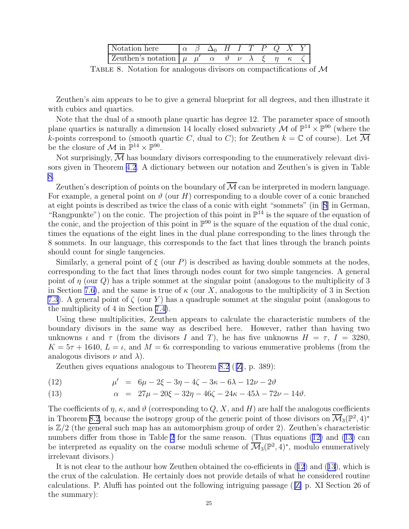| Notation here                        |  |  |  |  |  |
|--------------------------------------|--|--|--|--|--|
| Zeuthen's notation $\mu \mu' \alpha$ |  |  |  |  |  |

TABLE 8. Notation for analogous divisors on compactifications of  $\mathcal M$ 

Zeuthen's aim appears to be to give a general blueprint for all degrees, and then illustrate it with cubics and quartics.

Note that the dual of a smooth plane quartic has degree 12. The parameter space of smooth plane quartics is naturally a dimension 14 locally closed subvariety M of  $\mathbb{P}^{14} \times \mathbb{P}^{90}$  (where the k-points correspond to (smooth quartic C, dual to C); for Zeuthen  $k = \mathbb{C}$  of course). Let  $\overline{\mathcal{M}}$ be the closure of M in  $\mathbb{P}^{14} \times \mathbb{P}^{90}$ .

Not surprisingly,  $\overline{\mathcal{M}}$  has boundary divisors corresponding to the enumeratively relevant divisors given in Theorem [4.2](#page-5-0). A dictionary between our notation and Zeuthen's is given in Table 8.

Zeuthen's description of points on the boundary of  $\overline{\mathcal{M}}$  can be interpreted in modern language. For example, a general point on  $\vartheta$  (our H) corresponding to a double cover of a conic branched at eight points is described as twice the class of a conic with eight "sommets" (in[[S](#page-26-0)] in German, "Rangpunkte") on the conic. The projection of this point in  $\mathbb{P}^{14}$  is the square of the equation of the conic, and the projection of this point in  $\mathbb{P}^{90}$  is the square of the equation of the dual conic, times the equations of the eight lines in the dual plane corresponding to the lines through the 8 sommets. In our language, this corresponds to the fact that lines through the branch points should count for single tangencies.

Similarly, a general point of  $\xi$  (our P) is described as having double sommets at the nodes, corresponding to the fact that lines through nodes count for two simple tangencies. A general point of  $\eta$  (our  $Q$ ) has a triple sommet at the singular point (analogous to the multiplicity of 3 in Section [7.6\)](#page-19-0), and the same is true of  $\kappa$  (our X, analogous to the multiplicity of 3 in Section [7.3](#page-16-0)). A general point of  $\zeta$  (our Y) has a quadruple sommet at the singular point (analogous to the multiplicity of 4 in Section [7.4\)](#page-17-0).

Using these multiplicities, Zeuthen appears to calculate the characteristic numbers of the boundary divisors in the same way as described here. However, rather than having two unknowns  $\iota$  and  $\tau$  (from the divisors I and T), he has five unknowns  $H = \tau$ ,  $I = 3280$ ,  $K = 5\tau + 1640, L = \iota$ , and  $M = 6\iota$  corresponding to various enumerative problems (from the analogous divisors  $\nu$  and  $\lambda$ ).

Zeuthen gives equations analogous to Theorem [8.2](#page-23-0) ([[Z](#page-26-0)], p. 389):

(12) 
$$
\mu' = 6\mu - 2\xi - 3\eta - 4\zeta - 3\kappa - 6\lambda - 12\nu - 2\vartheta
$$

(13) 
$$
\alpha = 27\mu - 20\xi - 32\eta - 46\zeta - 24\kappa - 45\lambda - 72\nu - 14\vartheta.
$$

The coefficients of  $\eta$ ,  $\kappa$ , and  $\vartheta$  (corresponding to Q, X, and H) are half the analogous coefficients in Theorem [8.2](#page-23-0), because the isotropy group of the generic point of those divisors on  $\overline{\mathcal M}_3(\mathbb P^2,4)^*$ is  $\mathbb{Z}/2$  (the general such map has an automorphism group of order 2). Zeuthen's characteristic numbers differ from those in Table [2](#page-16-0) for the same reason. (Thus equations  $(12)$  and  $(13)$  can be interpreted as equality on the coarse moduli scheme of  $\overline{\mathcal{M}}_3(\mathbb{P}^2, 4)^*$ , modulo enumeratively irrelevant divisors.)

It is not clear to the authour how Zeuthen obtained the co-efficients in (12) and (13), which is the crux of the calculation. He certainly does not provide details of what he considered routine calculations. P. Aluffi has pointed out the following intriguing passage ([\[Z\]](#page-26-0) p. XI Section 26 of the summary):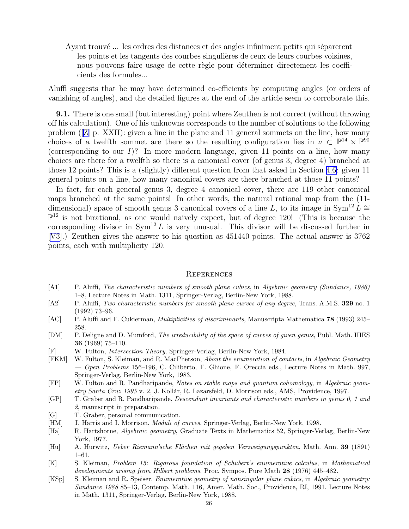<span id="page-25-0"></span>Ayant trouvé ... les ordres des distances et des angles infiniment petits qui séparerent les points et les tangents des courbes singulières de ceux de leurs courbes voisines, nous pouvons faire usage de cette règle pour déterminer directement les coefficients des formules...

Aluffi suggests that he may have determined co-efficients by computing angles (or orders of vanishing of angles), and the detailed figures at the end of the article seem to corroborate this.

9.1. There is one small (but interesting) point where Zeuthen is not correct (without throwing off his calculation). One of his unknowns corresponds to the number of solutions to the following problem ([[Z\]](#page-26-0) p. XXII): given a line in the plane and 11 general sommets on the line, how many choices of a twelfth sommet are there so the resulting configuration lies in  $\nu \subset \mathbb{P}^{14} \times \mathbb{P}^{90}$ (corresponding to our  $I$ )? In more modern language, given 11 points on a line, how many choices are there for a twelfth so there is a canonical cover (of genus 3, degree 4) branched at those 12 points? This is a (slightly) different question from that asked in Section [4.6:](#page-7-0) given 11 general points on a line, how many canonical covers are there branched at those 11 points?

In fact, for each general genus 3, degree 4 canonical cover, there are 119 other canonical maps branched at the same points! In other words, the natural rational map from the (11 dimensional) space of smooth genus 3 canonical covers of a line L, to its image in Sym<sup>12</sup> L ≅  $\mathbb{P}^{12}$  is not birational, as one would naively expect, but of degree 120! (This is because the corresponding divisor in  $Sym^{12} L$  is very unusual. This divisor will be discussed further in [\[V3\]](#page-26-0).) Zeuthen gives the answer to his question as 451440 points. The actual answer is 3762 points, each with multiplicity 120.

### **REFERENCES**

- [A1] P. Aluffi, The characteristic numbers of smooth plane cubics, in Algebraic geometry (Sundance, 1986) 1–8, Lecture Notes in Math. 1311, Springer-Verlag, Berlin-New York, 1988.
- [A2] P. Aluffi, Two characteristic numbers for smooth plane curves of any degree, Trans. A.M.S. 329 no. 1 (1992) 73–96.
- [AC] P. Aluffi and F. Cukierman, Multiplicities of discriminants, Manuscripta Mathematica 78 (1993) 245– 258.
- [DM] P. Deligne and D. Mumford, The irreducibility of the space of curves of given genus, Publ. Math. IHES 36 (1969) 75–110.
- [F] W. Fulton, Intersection Theory, Springer-Verlag, Berlin-New York, 1984.
- [FKM] W. Fulton, S. Kleiman, and R. MacPherson, About the enumeration of contacts, in Algebraic Geometry  $-$  Open Problems 156–196, C. Ciliberto, F. Ghione, F. Oreccia eds., Lecture Notes in Math. 997, Springer-Verlag, Berlin-New York, 1983.
- [FP] W. Fulton and R. Pandharipande, Notes on stable maps and quantum cohomology, in Algebraic geom- $\text{etry Santa Cruz } 1995 \text{ v. } 2$ , J. Kollár, R. Lazarsfeld, D. Morrison eds., AMS, Providence, 1997.
- [GP] T. Graber and R. Pandharipande, Descendant invariants and characteristic numbers in genus 0, 1 and 2, manuscript in preparation.
- [G] T. Graber, personal communication.
- [HM] J. Harris and I. Morrison, *Moduli of curves*, Springer-Verlag, Berlin-New York, 1998.
- [Ha] R. Hartshorne, Algebraic geometry, Graduate Texts in Mathematics 52, Springer-Verlag, Berlin-New York, 1977.
- [Hu] A. Hurwitz, Ueber Riemann'sche Flächen mit gegeben Verzweigungspunkten, Math. Ann. 39 (1891) 1–61.
- [K] S. Kleiman, Problem 15: Rigorous foundation of Schubert's enumerative calculus, in Mathematical developments arising from Hilbert problems, Proc. Sympos. Pure Math 28 (1976) 445–482.
- [KSp] S. Kleiman and R. Speiser, *Enumerative geometry of nonsingular plane cubics*, in Algebraic geometry: Sundance 1988 85–13, Contemp. Math. 116, Amer. Math. Soc., Providence, RI, 1991. Lecture Notes in Math. 1311, Springer-Verlag, Berlin-New York, 1988.